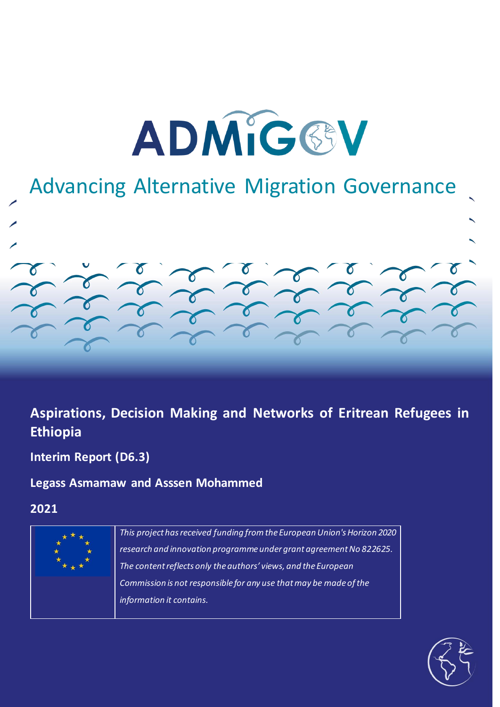

# Advancing Alternative Migration Governance

## **Aspirations, Decision Making and Networks of Eritrean Refugees in Ethiopia**

**Interim Report (D6.3)**

## **Legass Asmamaw and Asssen Mohammed**

**2021**



*This project has received funding from the European Union's Horizon 2020 research and innovation programme under grant agreement No 822625. The content reflects only the authors' views, and the European Commission is not responsible for any use that may be made of the information it contains.*

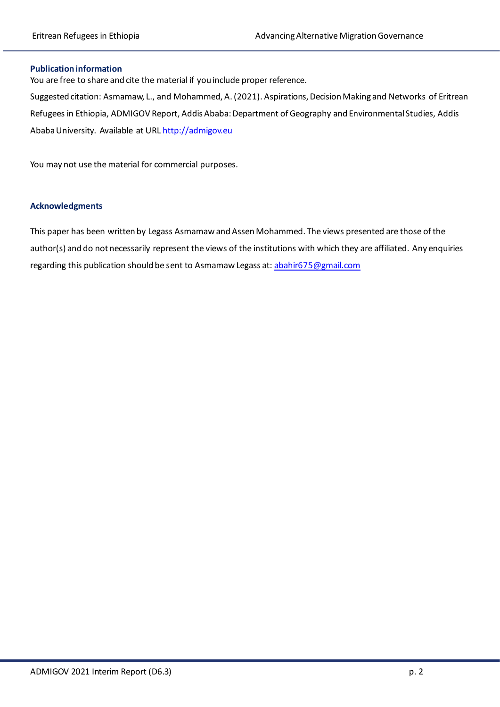#### **Publication information**

You are free to share and cite the material if you include proper reference.

Suggested citation: Asmamaw, L., and Mohammed, A. (2021). Aspirations, Decision Making and Networks of Eritrean Refugees in Ethiopia, ADMIGOV Report, Addis Ababa: Department of Geography and Environmental Studies, Addis Ababa University. Available at UR[L http://admigov.eu](http://admigov.eu/)

You may not use the material for commercial purposes.

#### **Acknowledgments**

This paper has been written by Legass Asmamaw and Assen Mohammed. The views presented are those of the author(s) and do not necessarily represent the views of the institutions with which they are affiliated. Any enquiries regarding this publication should be sent to Asmamaw Legass at: [abahir675@gmail.com](mailto:abahir675@gmail.com)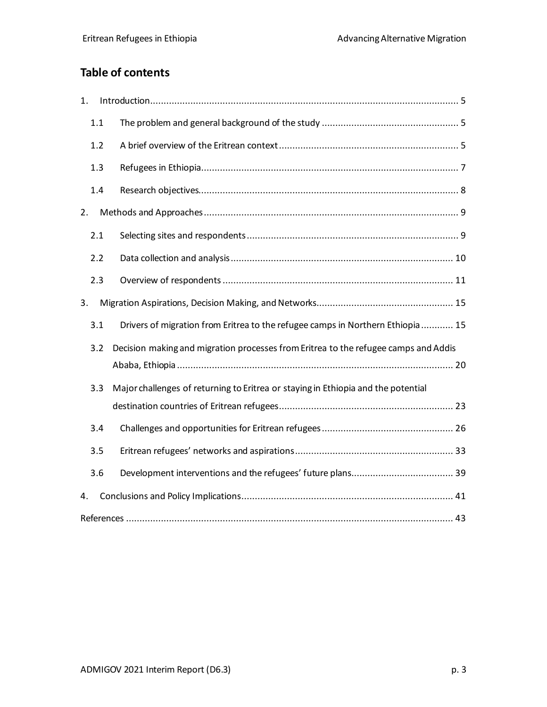## **Table of contents**

| 1. |     |                                                                                     |  |  |  |
|----|-----|-------------------------------------------------------------------------------------|--|--|--|
|    | 1.1 |                                                                                     |  |  |  |
|    | 1.2 |                                                                                     |  |  |  |
|    | 1.3 |                                                                                     |  |  |  |
|    | 1.4 |                                                                                     |  |  |  |
| 2. |     |                                                                                     |  |  |  |
|    | 2.1 |                                                                                     |  |  |  |
|    | 2.2 |                                                                                     |  |  |  |
|    | 2.3 |                                                                                     |  |  |  |
| 3. |     |                                                                                     |  |  |  |
|    | 3.1 | Drivers of migration from Eritrea to the refugee camps in Northern Ethiopia  15     |  |  |  |
|    | 3.2 | Decision making and migration processes from Eritrea to the refugee camps and Addis |  |  |  |
|    |     |                                                                                     |  |  |  |
|    | 3.3 | Major challenges of returning to Eritrea or staying in Ethiopia and the potential   |  |  |  |
|    |     |                                                                                     |  |  |  |
|    | 3.4 |                                                                                     |  |  |  |
|    | 3.5 |                                                                                     |  |  |  |
|    | 3.6 |                                                                                     |  |  |  |
| 4. |     |                                                                                     |  |  |  |
|    |     |                                                                                     |  |  |  |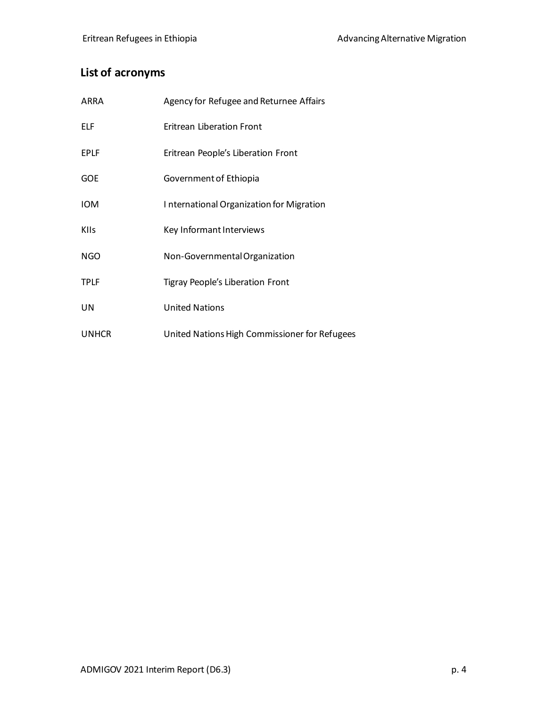## **List of acronyms**

| ARRA         | Agency for Refugee and Returnee Affairs       |
|--------------|-----------------------------------------------|
| ELF          | Eritrean Liberation Front                     |
| <b>EPLF</b>  | Eritrean People's Liberation Front            |
| <b>GOE</b>   | Government of Ethiopia                        |
| <b>IOM</b>   | International Organization for Migration      |
| <b>KIIs</b>  | Key Informant Interviews                      |
| <b>NGO</b>   | Non-Governmental Organization                 |
| <b>TPLF</b>  | Tigray People's Liberation Front              |
| UN           | <b>United Nations</b>                         |
| <b>UNHCR</b> | United Nations High Commissioner for Refugees |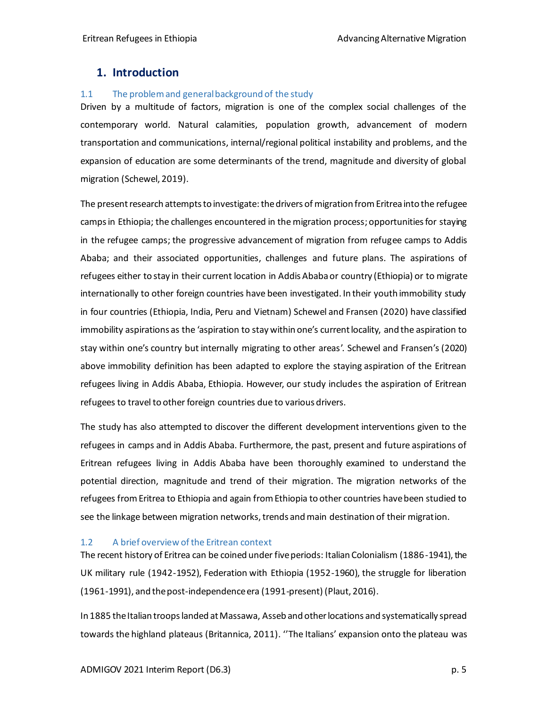### <span id="page-4-0"></span>**1. Introduction**

#### <span id="page-4-1"></span>1.1 The problem and general background of the study

Driven by a multitude of factors, migration is one of the complex social challenges of the contemporary world. Natural calamities, population growth, advancement of modern transportation and communications, internal/regional political instability and problems, and the expansion of education are some determinants of the trend, magnitude and diversity of global migration (Schewel, 2019).

The present research attempts to investigate: the drivers of migration from Eritrea into the refugee camps in Ethiopia; the challenges encountered in the migration process; opportunities for staying in the refugee camps; the progressive advancement of migration from refugee camps to Addis Ababa; and their associated opportunities, challenges and future plans. The aspirations of refugees either to stay in their current location in Addis Ababa or country (Ethiopia) or to migrate internationally to other foreign countries have been investigated. In their youth immobility study in four countries (Ethiopia, India, Peru and Vietnam) Schewel and Fransen (2020) have classified immobility aspirations as the 'aspiration to stay within one's current locality, and the aspiration to stay within one's country but internally migrating to other areas'. Schewel and Fransen's (2020) above immobility definition has been adapted to explore the staying aspiration of the Eritrean refugees living in Addis Ababa, Ethiopia. However, our study includes the aspiration of Eritrean refugees to travel to other foreign countries due to various drivers.

The study has also attempted to discover the different development interventions given to the refugees in camps and in Addis Ababa. Furthermore, the past, present and future aspirations of Eritrean refugees living in Addis Ababa have been thoroughly examined to understand the potential direction, magnitude and trend of their migration. The migration networks of the refugees from Eritrea to Ethiopia and again from Ethiopia to other countries have been studied to see the linkage between migration networks, trends and main destination of their migration.

#### <span id="page-4-2"></span>1.2 A brief overview of the Eritrean context

The recent history of Eritrea can be coined under five periods: Italian Colonialism (1886-1941), the UK military rule (1942-1952), Federation with Ethiopia (1952-1960), the struggle for liberation (1961-1991), and the post-independence era (1991-present) (Plaut, 2016).

In 1885 the Italian troops landed at Massawa, Asseb and other locations and systematically spread towards the highland plateaus (Britannica, 2011). ''The Italians' expansion onto the plateau was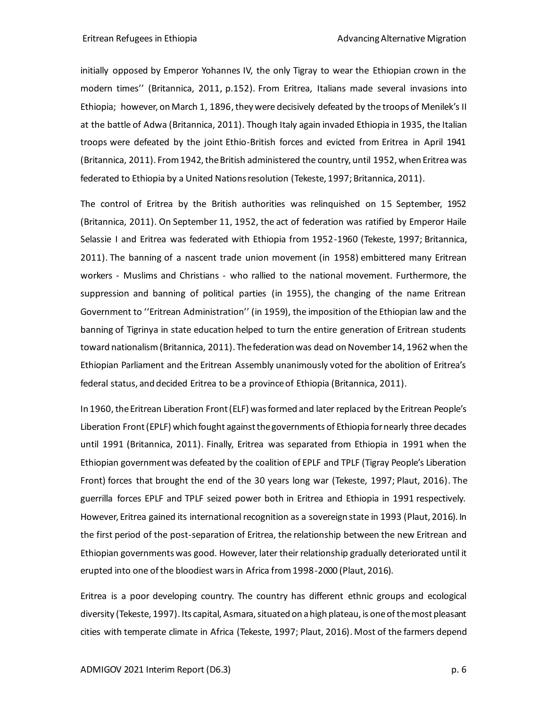initially opposed by Emperor Yohannes IV, the only Tigray to wear the Ethiopian crown in the modern times'' (Britannica, 2011, p.152). From Eritrea, Italians made several invasions into Ethiopia; however, on March 1, 1896, they were decisively defeated by the troops of Menilek's II at the battle of Adwa (Britannica, 2011). Though Italy again invaded Ethiopia in 1935, the Italian troops were defeated by the joint Ethio-British forces and evicted from Eritrea in April 1941 (Britannica, 2011). From 1942, the British administered the country, until 1952, when Eritrea was federated to Ethiopia by a United Nations resolution (Tekeste, 1997; Britannica, 2011).

The control of Eritrea by the British authorities was relinquished on 15 September, 1952 (Britannica, 2011). On September 11, 1952, the act of federation was ratified by Emperor Haile Selassie I and Eritrea was federated with Ethiopia from 1952-1960 (Tekeste, 1997; Britannica, 2011). The banning of a nascent trade union movement (in 1958) embittered many Eritrean workers - Muslims and Christians - who rallied to the national movement. Furthermore, the suppression and banning of political parties (in 1955), the changing of the name Eritrean Government to ''Eritrean Administration'' (in 1959), the imposition of the Ethiopian law and the banning of Tigrinya in state education helped to turn the entire generation of Eritrean students toward nationalism(Britannica, 2011). The federation was dead on November 14, 1962 when the Ethiopian Parliament and the Eritrean Assembly unanimously voted for the abolition of Eritrea's federal status, and decided Eritrea to be a province of Ethiopia (Britannica, 2011).

In 1960, the Eritrean Liberation Front (ELF) was formed and later replaced by the Eritrean People's Liberation Front (EPLF) which fought against the governments of Ethiopia for nearly three decades until 1991 (Britannica, 2011). Finally, Eritrea was separated from Ethiopia in 1991 when the Ethiopian government was defeated by the coalition of EPLF and TPLF (Tigray People's Liberation Front) forces that brought the end of the 30 years long war (Tekeste, 1997; Plaut, 2016). The guerrilla forces EPLF and TPLF seized power both in Eritrea and Ethiopia in 1991 respectively. However, Eritrea gained its international recognition as a sovereign state in 1993 (Plaut, 2016). In the first period of the post-separation of Eritrea, the relationship between the new Eritrean and Ethiopian governments was good. However, later their relationship gradually deteriorated until it erupted into one of the bloodiest wars in Africa from 1998-2000 (Plaut, 2016).

Eritrea is a poor developing country. The country has different ethnic groups and ecological diversity (Tekeste, 1997). Its capital, Asmara, situated on a high plateau, is one of the most pleasant cities with temperate climate in Africa (Tekeste, 1997; Plaut, 2016). Most of the farmers depend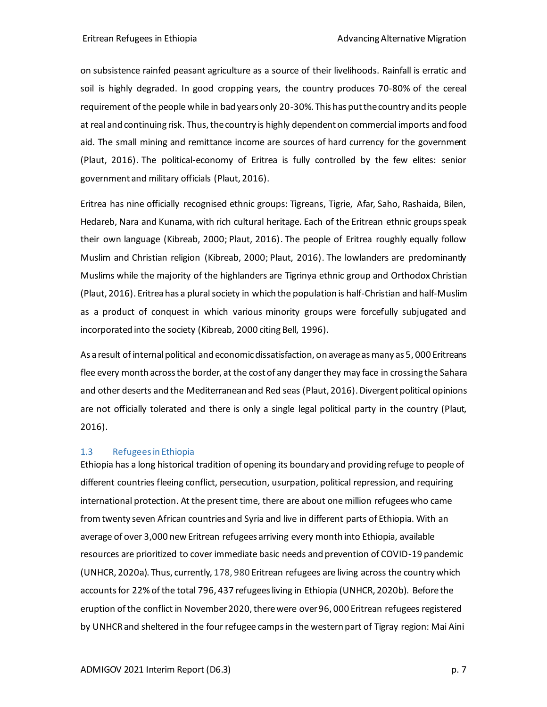on subsistence rainfed peasant agriculture as a source of their livelihoods. Rainfall is erratic and soil is highly degraded. In good cropping years, the country produces 70-80% of the cereal requirement of the people while in bad years only 20-30%. This has put the country and its people at real and continuing risk. Thus, the country is highly dependent on commercial imports and food aid. The small mining and remittance income are sources of hard currency for the government (Plaut, 2016). The political-economy of Eritrea is fully controlled by the few elites: senior government and military officials (Plaut, 2016).

Eritrea has nine officially recognised ethnic groups: Tigreans, Tigrie, Afar, Saho, Rashaida, Bilen, Hedareb, Nara and Kunama, with rich cultural heritage. Each of the Eritrean ethnic groups speak their own language (Kibreab, 2000; Plaut, 2016). The people of Eritrea roughly equally follow Muslim and Christian religion (Kibreab, 2000; Plaut, 2016). The lowlanders are predominantly Muslims while the majority of the highlanders are Tigrinya ethnic group and Orthodox Christian (Plaut, 2016). Eritrea has a plural society in which the population is half-Christian and half-Muslim as a product of conquest in which various minority groups were forcefully subjugated and incorporated into the society (Kibreab, 2000 citing Bell, 1996).

As a result of internal political and economic dissatisfaction, on average as many as 5, 000 Eritreans flee every month across the border, at the cost of any danger they may face in crossing the Sahara and other deserts and the Mediterranean and Red seas (Plaut, 2016). Divergent political opinions are not officially tolerated and there is only a single legal political party in the country (Plaut, 2016).

#### <span id="page-6-0"></span>1.3 Refugees in Ethiopia

Ethiopia has a long historical tradition of opening its boundary and providing refuge to people of different countries fleeing conflict, persecution, usurpation, political repression, and requiring international protection. At the present time, there are about one million refugees who came from twenty seven African countries and Syria and live in different parts of Ethiopia. With an average of over 3,000 new Eritrean refugees arriving every month into Ethiopia, available resources are prioritized to cover immediate basic needs and prevention of COVID-19 pandemic (UNHCR, 2020a). Thus, currently, 178, 980 Eritrean refugees are living across the country which accounts for 22% of the total 796, 437 refugeesliving in Ethiopia (UNHCR, 2020b). Before the eruption of the conflict in November 2020, there were over 96, 000 Eritrean refugees registered by UNHCR and sheltered in the four refugee camps in the western part of Tigray region: Mai Aini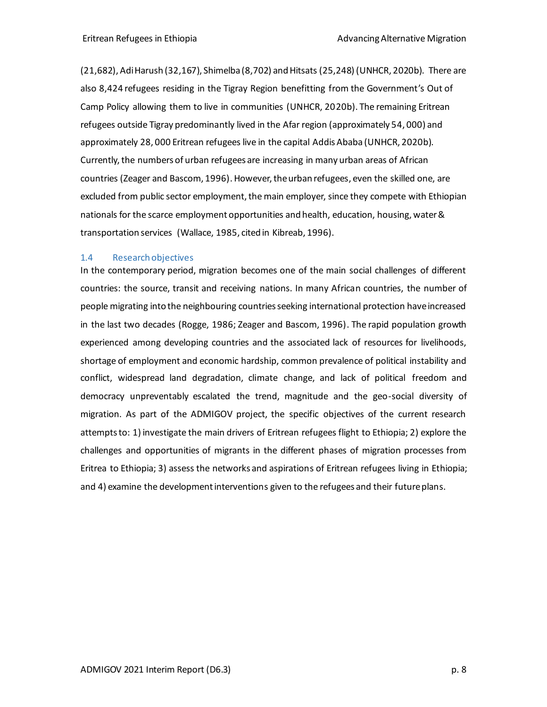(21,682), Adi Harush (32,167), Shimelba (8,702) and Hitsats (25,248) (UNHCR, 2020b). There are also 8,424 refugees residing in the Tigray Region benefitting from the Government's Out of Camp Policy allowing them to live in communities (UNHCR, 2020b). The remaining Eritrean refugees outside Tigray predominantly lived in the Afar region (approximately 54, 000) and approximately 28, 000 Eritrean refugees live in the capital Addis Ababa (UNHCR, 2020b). Currently, the numbers of urban refugees are increasing in many urban areas of African countries (Zeager and Bascom, 1996). However, the urban refugees, even the skilled one, are excluded from public sector employment, the main employer, since they compete with Ethiopian nationals for the scarce employment opportunities and health, education, housing, water & transportation services (Wallace, 1985, cited in Kibreab, 1996).

#### <span id="page-7-0"></span>1.4 Research objectives

In the contemporary period, migration becomes one of the main social challenges of different countries: the source, transit and receiving nations. In many African countries, the number of people migrating into the neighbouring countries seeking international protection have increased in the last two decades (Rogge, 1986; Zeager and Bascom, 1996). The rapid population growth experienced among developing countries and the associated lack of resources for livelihoods, shortage of employment and economic hardship, common prevalence of political instability and conflict, widespread land degradation, climate change, and lack of political freedom and democracy unpreventably escalated the trend, magnitude and the geo-social diversity of migration. As part of the ADMIGOV project, the specific objectives of the current research attempts to: 1) investigate the main drivers of Eritrean refugees flight to Ethiopia; 2) explore the challenges and opportunities of migrants in the different phases of migration processes from Eritrea to Ethiopia; 3) assess the networks and aspirations of Eritrean refugees living in Ethiopia; and 4) examine the development interventions given to the refugees and their future plans.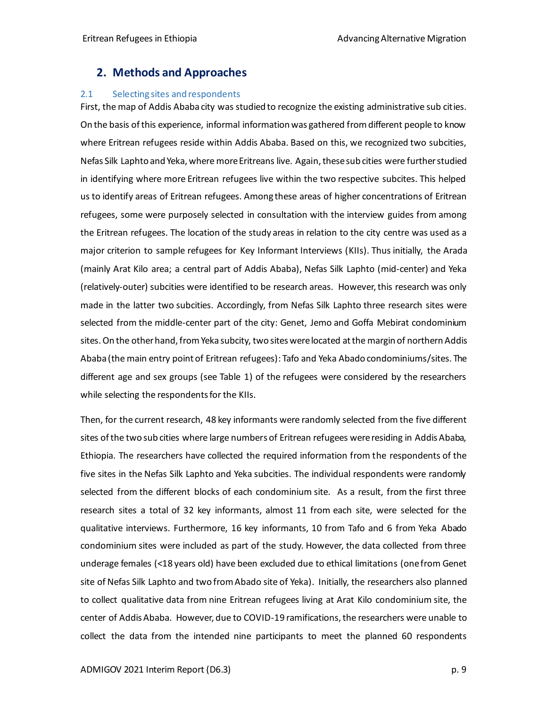## <span id="page-8-0"></span>**2. Methods and Approaches**

#### <span id="page-8-1"></span>2.1 Selecting sites and respondents

First, the map of Addis Ababa city was studied to recognize the existing administrative sub cities. On the basis of this experience, informal information was gathered from different people to know where Eritrean refugees reside within Addis Ababa. Based on this, we recognized two subcities, Nefas Silk Laphto and Yeka, where more Eritreans live. Again, these sub cities were further studied in identifying where more Eritrean refugees live within the two respective subcites. This helped us to identify areas of Eritrean refugees. Among these areas of higher concentrations of Eritrean refugees, some were purposely selected in consultation with the interview guides from among the Eritrean refugees. The location of the study areas in relation to the city centre was used as a major criterion to sample refugees for Key Informant Interviews (KIIs). Thus initially, the Arada (mainly Arat Kilo area; a central part of Addis Ababa), Nefas Silk Laphto (mid-center) and Yeka (relatively-outer) subcities were identified to be research areas. However, this research was only made in the latter two subcities. Accordingly, from Nefas Silk Laphto three research sites were selected from the middle-center part of the city: Genet, Jemo and Goffa Mebirat condominium sites. On the other hand, from Yeka subcity, two sites were located at the margin of northern Addis Ababa (the main entry point of Eritrean refugees): Tafo and Yeka Abado condominiums/sites. The different age and sex groups (see Table 1) of the refugees were considered by the researchers while selecting the respondents for the KIIs.

Then, for the current research, 48 key informants were randomly selected from the five different sites of the two sub cities where large numbers of Eritrean refugees were residing in Addis Ababa, Ethiopia. The researchers have collected the required information from the respondents of the five sites in the Nefas Silk Laphto and Yeka subcities. The individual respondents were randomly selected from the different blocks of each condominium site. As a result, from the first three research sites a total of 32 key informants, almost 11 from each site, were selected for the qualitative interviews. Furthermore, 16 key informants, 10 from Tafo and 6 from Yeka Abado condominium sites were included as part of the study. However, the data collected from three underage females (<18 years old) have been excluded due to ethical limitations (one from Genet site of Nefas Silk Laphto and two from Abado site of Yeka). Initially, the researchers also planned to collect qualitative data from nine Eritrean refugees living at Arat Kilo condominium site, the center of Addis Ababa. However, due to COVID-19 ramifications, the researchers were unable to collect the data from the intended nine participants to meet the planned 60 respondents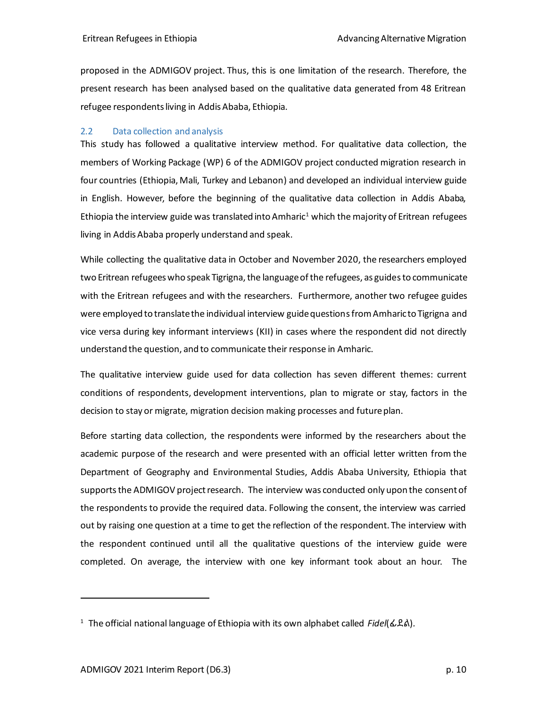proposed in the ADMIGOV project. Thus, this is one limitation of the research. Therefore, the present research has been analysed based on the qualitative data generated from 48 Eritrean refugee respondents living in Addis Ababa, Ethiopia.

#### <span id="page-9-0"></span>2.2 Data collection and analysis

This study has followed a qualitative interview method. For qualitative data collection, the members of Working Package (WP) 6 of the ADMIGOV project conducted migration research in four countries (Ethiopia, Mali, Turkey and Lebanon) and developed an individual interview guide in English. However, before the beginning of the qualitative data collection in Addis Ababa, Ethiopia the interview guide was translated into Amharic<sup>1</sup> which the majority of Eritrean refugees living in Addis Ababa properly understand and speak.

While collecting the qualitative data in October and November 2020, the researchers employed two Eritrean refugees who speak Tigrigna, the language of the refugees, as guidesto communicate with the Eritrean refugees and with the researchers. Furthermore, another two refugee guides were employed to translate the individual interview guide questions from Amharic to Tigrigna and vice versa during key informant interviews (KII) in cases where the respondent did not directly understand the question, and to communicate their response in Amharic.

The qualitative interview guide used for data collection has seven different themes: current conditions of respondents, development interventions, plan to migrate or stay, factors in the decision to stay or migrate, migration decision making processes and future plan.

Before starting data collection, the respondents were informed by the researchers about the academic purpose of the research and were presented with an official letter written from the Department of Geography and Environmental Studies, Addis Ababa University, Ethiopia that supports the ADMIGOV project research. The interview was conducted only upon the consent of the respondents to provide the required data. Following the consent, the interview was carried out by raising one question at a time to get the reflection of the respondent. The interview with the respondent continued until all the qualitative questions of the interview guide were completed. On average, the interview with one key informant took about an hour. The

<sup>1</sup> The official national language of Ethiopia with its own alphabet called *Fidel*(ፊደል)*.*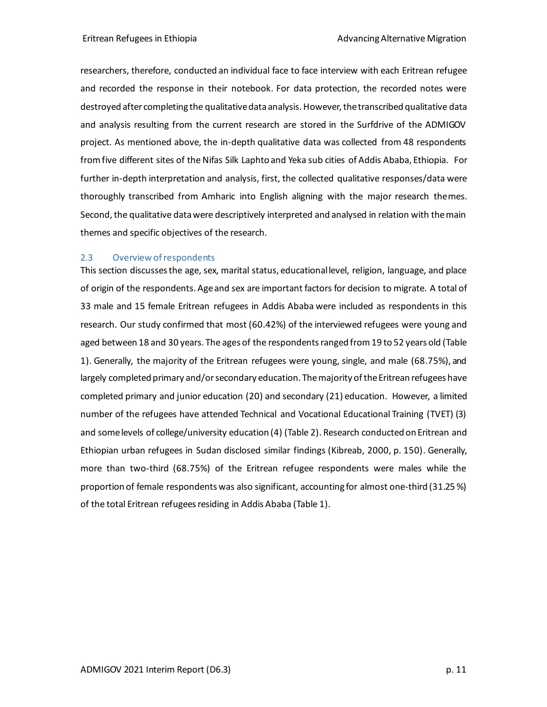researchers, therefore, conducted an individual face to face interview with each Eritrean refugee and recorded the response in their notebook. For data protection, the recorded notes were destroyed after completing the qualitative data analysis. However, the transcribed qualitative data and analysis resulting from the current research are stored in the Surfdrive of the ADMIGOV project. As mentioned above, the in-depth qualitative data was collected from 48 respondents fromfive different sites of the Nifas Silk Laphto and Yeka sub cities of Addis Ababa, Ethiopia. For further in-depth interpretation and analysis, first, the collected qualitative responses/data were thoroughly transcribed from Amharic into English aligning with the major research themes. Second, the qualitative data were descriptively interpreted and analysed in relation with the main themes and specific objectives of the research.

#### <span id="page-10-0"></span>2.3 Overview of respondents

This section discusses the age, sex, marital status, educational level, religion, language, and place of origin of the respondents. Age and sex are important factors for decision to migrate. A total of 33 male and 15 female Eritrean refugees in Addis Ababa were included as respondents in this research. Our study confirmed that most (60.42%) of the interviewed refugees were young and aged between 18 and 30 years. The ages of the respondents ranged from 19 to 52 years old (Table 1). Generally, the majority of the Eritrean refugees were young, single, and male (68.75%), and largely completed primary and/orsecondary education. The majority of the Eritrean refugees have completed primary and junior education (20) and secondary (21) education. However, a limited number of the refugees have attended Technical and Vocational Educational Training (TVET) (3) and some levels of college/university education (4) (Table 2). Research conducted on Eritrean and Ethiopian urban refugees in Sudan disclosed similar findings (Kibreab, 2000, p. 150). Generally, more than two-third (68.75%) of the Eritrean refugee respondents were males while the proportion of female respondents was also significant, accounting for almost one-third (31.25 %) of the total Eritrean refugees residing in Addis Ababa (Table 1).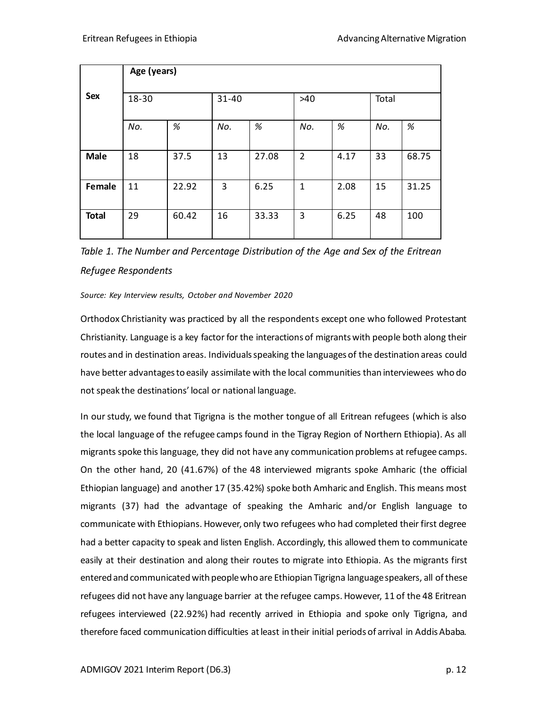|              | Age (years) |       |       |       |                |      |       |       |  |
|--------------|-------------|-------|-------|-------|----------------|------|-------|-------|--|
| Sex          | 18-30       |       | 31-40 |       | $>40$          |      | Total |       |  |
|              | No.         | $\%$  | No.   | %     | No.            | %    | No.   | %     |  |
| <b>Male</b>  | 18          | 37.5  | 13    | 27.08 | $\overline{2}$ | 4.17 | 33    | 68.75 |  |
| Female       | 11          | 22.92 | 3     | 6.25  | 1              | 2.08 | 15    | 31.25 |  |
| <b>Total</b> | 29          | 60.42 | 16    | 33.33 | 3              | 6.25 | 48    | 100   |  |

*Table 1. The Number and Percentage Distribution of the Age and Sex of the Eritrean Refugee Respondents*

#### *Source: Key Interview results, October and November 2020*

Orthodox Christianity was practiced by all the respondents except one who followed Protestant Christianity. Language is a key factor for the interactions of migrants with people both along their routes and in destination areas. Individuals speaking the languages of the destination areas could have better advantages to easily assimilate with the local communities than interviewees who do not speak the destinations' local or national language.

In our study, we found that Tigrigna is the mother tongue of all Eritrean refugees (which is also the local language of the refugee camps found in the Tigray Region of Northern Ethiopia). As all migrants spoke this language, they did not have any communication problems at refugee camps. On the other hand, 20 (41.67%) of the 48 interviewed migrants spoke Amharic (the official Ethiopian language) and another 17 (35.42%) spoke both Amharic and English. This means most migrants (37) had the advantage of speaking the Amharic and/or English language to communicate with Ethiopians. However, only two refugees who had completed their first degree had a better capacity to speak and listen English. Accordingly, this allowed them to communicate easily at their destination and along their routes to migrate into Ethiopia. As the migrants first entered and communicated with people who are Ethiopian Tigrigna language speakers, all of these refugees did not have any language barrier at the refugee camps. However, 11 of the 48 Eritrean refugees interviewed (22.92%) had recently arrived in Ethiopia and spoke only Tigrigna, and therefore faced communication difficulties at least in their initial periods of arrival in Addis Ababa.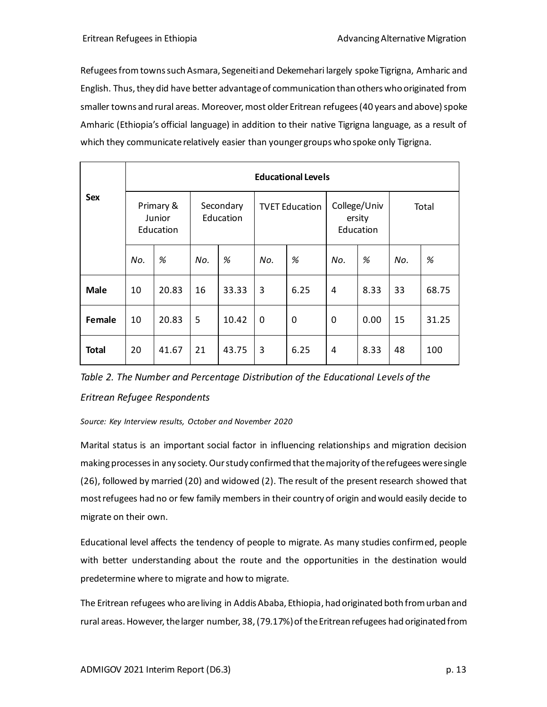Refugees fromtowns such Asmara, Segeneiti and Dekemehari largely spoke Tigrigna, Amharic and English. Thus, they did have better advantage of communication than others who originated from smaller towns and rural areas. Moreover, most older Eritrean refugees (40 years and above) spoke Amharic (Ethiopia's official language) in addition to their native Tigrigna language, as a result of which they communicate relatively easier than younger groups who spoke only Tigrigna.

|              | <b>Educational Levels</b>        |       |                        |       |                       |      |                                     |      |       |       |
|--------------|----------------------------------|-------|------------------------|-------|-----------------------|------|-------------------------------------|------|-------|-------|
| Sex          | Primary &<br>Junior<br>Education |       | Secondary<br>Education |       | <b>TVET Education</b> |      | College/Univ<br>ersity<br>Education |      | Total |       |
|              | No.                              | %     | No.                    | $\%$  | No.                   | $\%$ | No.                                 | %    | No.   | %     |
| <b>Male</b>  | 10                               | 20.83 | 16                     | 33.33 | 3                     | 6.25 | 4                                   | 8.33 | 33    | 68.75 |
| Female       | 10                               | 20.83 | 5                      | 10.42 | $\mathbf 0$           | 0    | 0                                   | 0.00 | 15    | 31.25 |
| <b>Total</b> | 20                               | 41.67 | 21                     | 43.75 | 3                     | 6.25 | 4                                   | 8.33 | 48    | 100   |

*Table 2. The Number and Percentage Distribution of the Educational Levels of the Eritrean Refugee Respondents* 

*Source: Key Interview results, October and November 2020*

Marital status is an important social factor in influencing relationships and migration decision making processesin any society. Our study confirmed that the majority of the refugees were single (26), followed by married (20) and widowed (2). The result of the present research showed that most refugees had no or few family members in their country of origin and would easily decide to migrate on their own.

Educational level affects the tendency of people to migrate. As many studies confirmed, people with better understanding about the route and the opportunities in the destination would predetermine where to migrate and how to migrate.

The Eritrean refugees who are living in Addis Ababa, Ethiopia, had originated both from urban and rural areas. However, thelarger number, 38, (79.17%) of the Eritrean refugees had originated from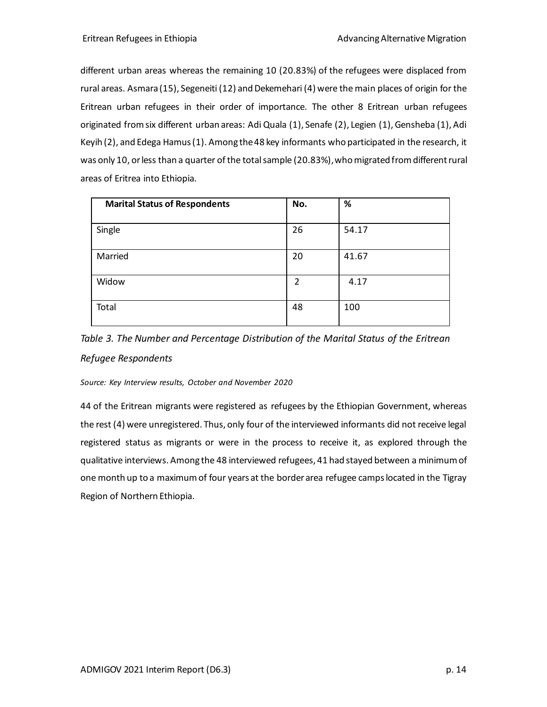different urban areas whereas the remaining 10 (20.83%) of the refugees were displaced from rural areas. Asmara (15), Segeneiti (12) and Dekemehari (4) were the main places of origin for the Eritrean urban refugees in their order of importance. The other 8 Eritrean urban refugees originated from six different urban areas: Adi Quala (1), Senafe (2), Legien (1), Gensheba (1), Adi Keyih (2), and Edega Hamus (1). Among the 48 key informants who participated in the research, it was only 10, or less than a quarter of the total sample (20.83%), who migrated from different rural areas of Eritrea into Ethiopia.

| <b>Marital Status of Respondents</b> | No. | $\%$  |
|--------------------------------------|-----|-------|
| Single                               | 26  | 54.17 |
| Married                              | 20  | 41.67 |
| Widow                                | 2   | 4.17  |
| Total                                | 48  | 100   |

*Table 3. The Number and Percentage Distribution of the Marital Status of the Eritrean Refugee Respondents*

#### *Source: Key Interview results, October and November 2020*

44 of the Eritrean migrants were registered as refugees by the Ethiopian Government, whereas the rest (4) were unregistered. Thus, only four of the interviewed informants did not receive legal registered status as migrants or were in the process to receive it, as explored through the qualitative interviews. Among the 48 interviewed refugees, 41 had stayed between a minimum of one month up to a maximum of four years at the border area refugee camps located in the Tigray Region of Northern Ethiopia.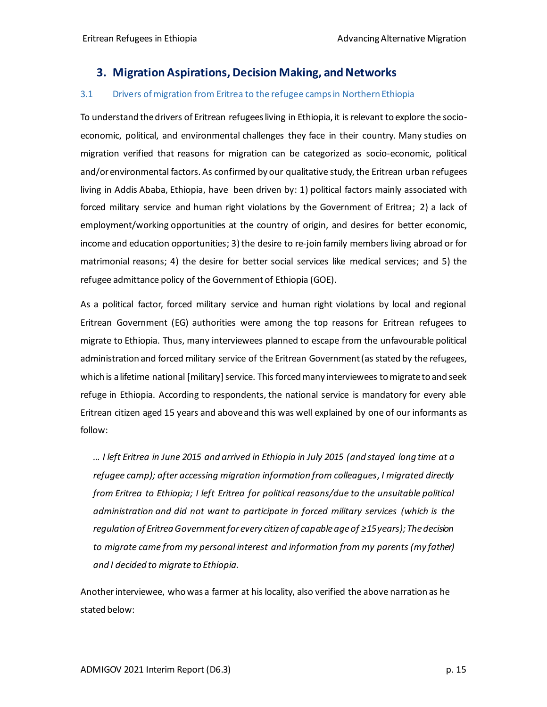## <span id="page-14-0"></span>**3. Migration Aspirations, Decision Making, and Networks**

#### <span id="page-14-1"></span>3.1 Drivers of migration from Eritrea to the refugee camps in Northern Ethiopia

To understand the drivers of Eritrean refugees living in Ethiopia, it is relevant to explore the socioeconomic, political, and environmental challenges they face in their country. Many studies on migration verified that reasons for migration can be categorized as socio-economic, political and/or environmental factors. As confirmed by our qualitative study, the Eritrean urban refugees living in Addis Ababa, Ethiopia, have been driven by: 1) political factors mainly associated with forced military service and human right violations by the Government of Eritrea; 2) a lack of employment/working opportunities at the country of origin, and desires for better economic, income and education opportunities; 3) the desire to re-join family members living abroad or for matrimonial reasons; 4) the desire for better social services like medical services; and 5) the refugee admittance policy of the Government of Ethiopia (GOE).

As a political factor, forced military service and human right violations by local and regional Eritrean Government (EG) authorities were among the top reasons for Eritrean refugees to migrate to Ethiopia. Thus, many interviewees planned to escape from the unfavourable political administration and forced military service of the Eritrean Government (as stated by the refugees, which is a lifetime national [military] service. This forced many interviewees to migrate to and seek refuge in Ethiopia. According to respondents, the national service is mandatory for every able Eritrean citizen aged 15 years and above and this was well explained by one of our informants as follow:

*… I left Eritrea in June 2015 and arrived in Ethiopia in July 2015 (and stayed long time at a refugee camp); after accessing migration information from colleagues, I migrated directly from Eritrea to Ethiopia; I left Eritrea for political reasons/due to the unsuitable political administration and did not want to participate in forced military services (which is the regulation of Eritrea Government for every citizen of capable age of ≥15 years); The decision to migrate came from my personal interest and information from my parents (my father) and I decided to migrate to Ethiopia.*

Another interviewee, who was a farmer at his locality, also verified the above narration as he stated below: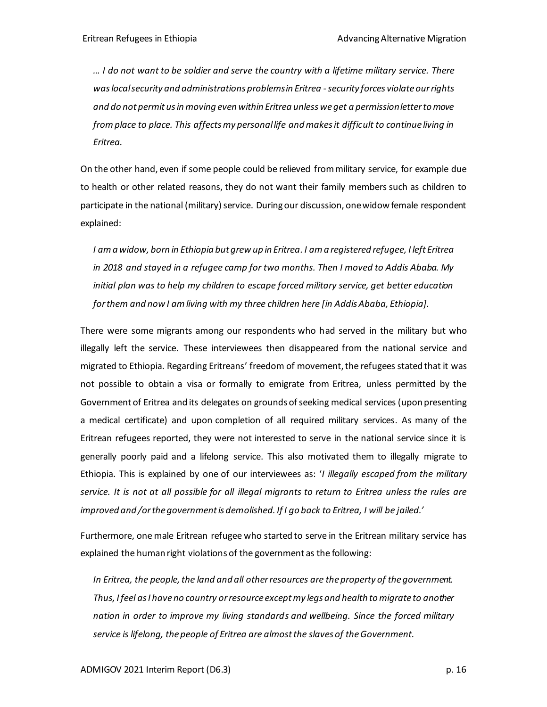*… I do not want to be soldier and serve the country with a lifetime military service. There waslocal security and administrations problems in Eritrea -security forces violate our rights and do not permit us in moving even within Eritrea unless we get a permission letter to move from place to place. This affects my personal life and makes it difficult to continue living in Eritrea.* 

On the other hand, even if some people could be relieved from military service, for example due to health or other related reasons, they do not want their family members such as children to participate in the national (military) service. During our discussion, one widow female respondent explained:

*I am a widow, born in Ethiopia but grew up in Eritrea. I am a registered refugee, I left Eritrea in 2018 and stayed in a refugee camp for two months. Then I moved to Addis Ababa. My initial plan was to help my children to escape forced military service, get better education for them and now I am living with my three children here [in Addis Ababa, Ethiopia].*

There were some migrants among our respondents who had served in the military but who illegally left the service. These interviewees then disappeared from the national service and migrated to Ethiopia. Regarding Eritreans' freedom of movement, the refugees stated that it was not possible to obtain a visa or formally to emigrate from Eritrea, unless permitted by the Government of Eritrea and its delegates on grounds of seeking medical services (upon presenting a medical certificate) and upon completion of all required military services. As many of the Eritrean refugees reported, they were not interested to serve in the national service since it is generally poorly paid and a lifelong service. This also motivated them to illegally migrate to Ethiopia. This is explained by one of our interviewees as: '*I illegally escaped from the military service. It is not at all possible for all illegal migrants to return to Eritrea unless the rules are improved and /or the government is demolished. If I go back to Eritrea, I will be jailed.'*

Furthermore, one male Eritrean refugee who started to serve in the Eritrean military service has explained the human right violations of the government as the following:

*In Eritrea, the people, the land and all other resources are the property of the government. Thus, I feel as I have no country orresource except my legs and health to migrate to another nation in order to improve my living standards and wellbeing. Since the forced military service is lifelong, the people of Eritrea are almost the slaves of the Government.*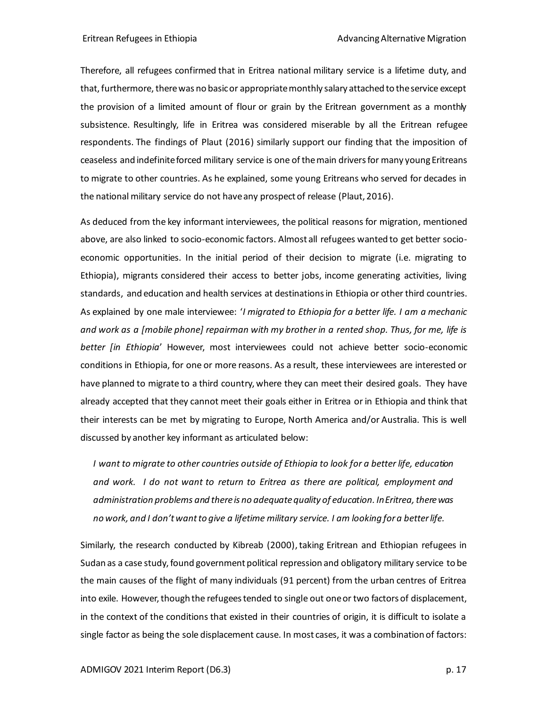Therefore, all refugees confirmed that in Eritrea national military service is a lifetime duty, and that, furthermore, there was no basic or appropriate monthly salary attached to the service except the provision of a limited amount of flour or grain by the Eritrean government as a monthly subsistence. Resultingly, life in Eritrea was considered miserable by all the Eritrean refugee respondents. The findings of Plaut (2016) similarly support our finding that the imposition of ceaseless and indefinite forced military service is one of the main drivers for many young Eritreans to migrate to other countries. As he explained, some young Eritreans who served for decades in the national military service do not have any prospect of release (Plaut, 2016).

As deduced from the key informant interviewees, the political reasons for migration, mentioned above, are also linked to socio-economic factors. Almost all refugees wanted to get better socioeconomic opportunities. In the initial period of their decision to migrate (i.e. migrating to Ethiopia), migrants considered their access to better jobs, income generating activities, living standards, and education and health services at destinations in Ethiopia or other third countries. As explained by one male interviewee: '*I migrated to Ethiopia for a better life. I am a mechanic and work as a [mobile phone] repairman with my brother in a rented shop. Thus, for me, life is better [in Ethiopia*' However, most interviewees could not achieve better socio-economic conditions in Ethiopia, for one or more reasons. As a result, these interviewees are interested or have planned to migrate to a third country, where they can meet their desired goals. They have already accepted that they cannot meet their goals either in Eritrea or in Ethiopia and think that their interests can be met by migrating to Europe, North America and/or Australia. This is well discussed by another key informant as articulated below:

*I want to migrate to other countries outside of Ethiopia to look for a better life, education and work. I do not want to return to Eritrea as there are political, employment and administration problems and there is no adequate quality of education. In Eritrea, there was no work, and I don't want to give a lifetime military service. I am looking for a better life.*

Similarly, the research conducted by Kibreab (2000), taking Eritrean and Ethiopian refugees in Sudan as a case study,found government political repression and obligatory military service to be the main causes of the flight of many individuals (91 percent) from the urban centres of Eritrea into exile. However, though the refugees tended to single out one or two factors of displacement, in the context of the conditions that existed in their countries of origin, it is difficult to isolate a single factor as being the sole displacement cause. In most cases, it was a combination of factors: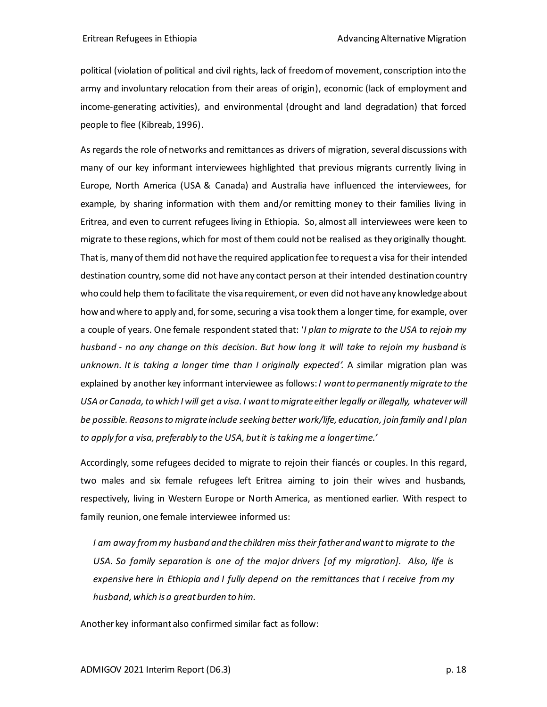political (violation of political and civil rights, lack of freedom of movement, conscription into the army and involuntary relocation from their areas of origin), economic (lack of employment and income-generating activities), and environmental (drought and land degradation) that forced people to flee (Kibreab, 1996).

As regards the role of networks and remittances as drivers of migration, several discussions with many of our key informant interviewees highlighted that previous migrants currently living in Europe, North America (USA & Canada) and Australia have influenced the interviewees, for example, by sharing information with them and/or remitting money to their families living in Eritrea, and even to current refugees living in Ethiopia. So, almost all interviewees were keen to migrate to these regions, which for most of them could not be realised as they originally thought. That is, many of them did not have the required application fee to request a visa for their intended destination country, some did not have any contact person at their intended destination country who could help them to facilitate the visa requirement, or even did not have any knowledge about how and where to apply and, for some, securing a visa took them a longer time, for example, over a couple of years. One female respondent stated that: '*I plan to migrate to the USA to rejoin my husband - no any change on this decision. But how long it will take to rejoin my husband is unknown. It is taking a longer time than I originally expected'.* A *s*imilar migration plan was explained by another key informant interviewee as follows:*I want to permanently migrate to the USA or Canada, to which I will get a visa. I want to migrate either legally or illegally, whatever will be possible. Reasons to migrate include seeking better work/life, education, join family and I plan to apply for a visa, preferably to the USA, but it is taking me a longer time.'*

Accordingly, some refugees decided to migrate to rejoin their fiancés or couples. In this regard, two males and six female refugees left Eritrea aiming to join their wives and husbands, respectively, living in Western Europe or North America, as mentioned earlier. With respect to family reunion, one female interviewee informed us:

*I am away from my husband and the children miss their father and want to migrate to the USA. So family separation is one of the major drivers [of my migration]. Also, life is expensive here in Ethiopia and I fully depend on the remittances that I receive from my husband, which is a great burden to him.*

Another key informant also confirmed similar fact as follow: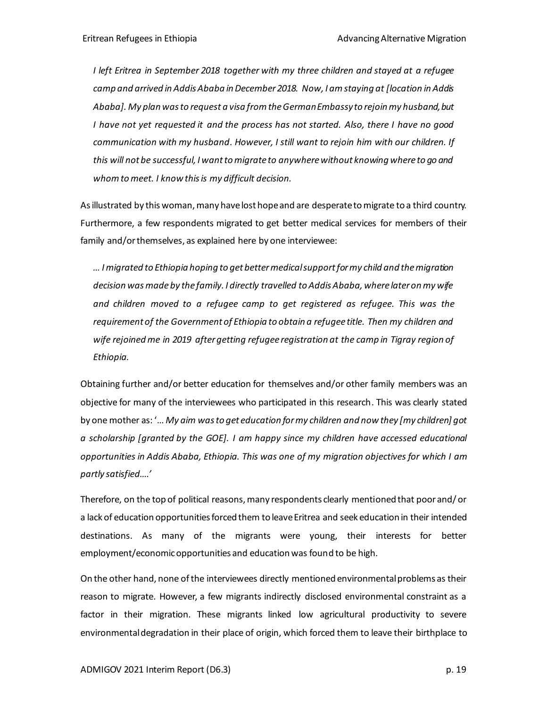*I left Eritrea in September 2018 together with my three children and stayed at a refugee*  camp and arrived in Addis Ababa in December 2018. Now, I am staying at [location in Addis *Ababa]. My plan was to request a visa from the German Embassy to rejoin my husband, but I have not yet requested it and the process has not started. Also, there I have no good communication with my husband. However, I still want to rejoin him with our children. If this will not be successful, I want to migrate to anywhere without knowing where to go and whom to meet. I know this is my difficult decision.* 

As illustrated by this woman, many have lost hope and are desperate to migrate to a third country. Furthermore, a few respondents migrated to get better medical services for members of their family and/or themselves, as explained here by one interviewee:

*… I migrated to Ethiopia hoping to get better medical support for my child and the migration decision was made by the family. I directly travelled to Addis Ababa, where later on my wife and children moved to a refugee camp to get registered as refugee. This was the requirement of the Government of Ethiopia to obtain a refugee title. Then my children and wife rejoined me in 2019 after getting refugee registration at the camp in Tigray region of Ethiopia.*

Obtaining further and/or better education for themselves and/or other family members was an objective for many of the interviewees who participated in this research. This was clearly stated by one mother as: '… *My aim was to get education for my children and now they [my children] got a scholarship [granted by the GOE]. I am happy since my children have accessed educational opportunities in Addis Ababa, Ethiopia. This was one of my migration objectives for which I am partly satisfied….'*

Therefore, on the top of political reasons, many respondents clearly mentioned that poor and/ or a lack of education opportunities forced them to leave Eritrea and seek education in their intended destinations. As many of the migrants were young, their interests for better employment/economic opportunities and education was found to be high.

On the other hand, none of the interviewees directly mentioned environmental problems as their reason to migrate. However, a few migrants indirectly disclosed environmental constraint as a factor in their migration. These migrants linked low agricultural productivity to severe environmental degradation in their place of origin, which forced them to leave their birthplace to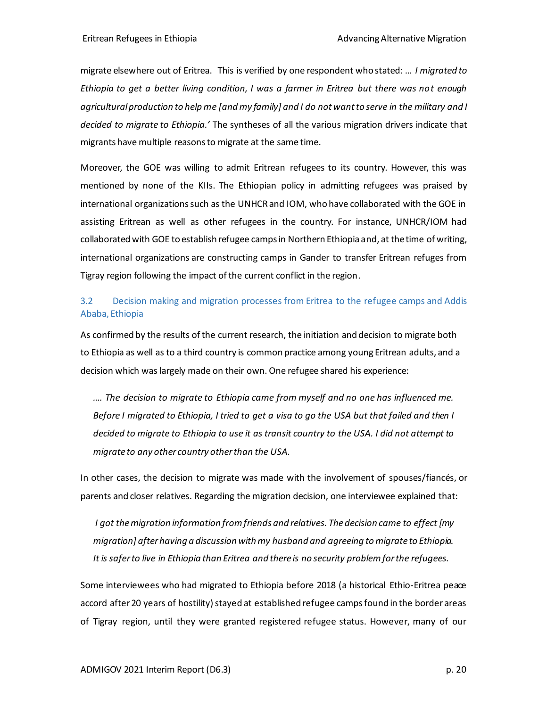migrate elsewhere out of Eritrea. This is verified by one respondent who stated: … *I migrated to Ethiopia to get a better living condition, I was a farmer in Eritrea but there was not enough agricultural production to help me [and my family] and I do not want to serve in the military and I decided to migrate to Ethiopia.'* The syntheses of all the various migration drivers indicate that migrants have multiple reasons to migrate at the same time.

Moreover, the GOE was willing to admit Eritrean refugees to its country. However, this was mentioned by none of the KIIs. The Ethiopian policy in admitting refugees was praised by international organizations such as the UNHCR and IOM, who have collaborated with the GOE in assisting Eritrean as well as other refugees in the country. For instance, UNHCR/IOM had collaborated with GOE to establish refugee camps in Northern Ethiopia and, at the time of writing, international organizations are constructing camps in Gander to transfer Eritrean refuges from Tigray region following the impact of the current conflict in the region.

### <span id="page-19-0"></span>3.2 Decision making and migration processes from Eritrea to the refugee camps and Addis Ababa, Ethiopia

As confirmed by the results of the current research, the initiation and decision to migrate both to Ethiopia as well as to a third country is common practice among young Eritrean adults, and a decision which was largely made on their own. One refugee shared his experience:

*…. The decision to migrate to Ethiopia came from myself and no one has influenced me. Before I migrated to Ethiopia, I tried to get a visa to go the USA but that failed and then I decided to migrate to Ethiopia to use it as transit country to the USA. I did not attempt to migrate to any other country other than the USA.* 

In other cases, the decision to migrate was made with the involvement of spouses/fiancés, or parents and closer relatives. Regarding the migration decision, one interviewee explained that:

*I got the migration information from friends and relatives. The decision came to effect [my migration] after having a discussion with my husband and agreeing to migrate to Ethiopia. It is saferto live in Ethiopia than Eritrea and there is no security problem for the refugees.*

Some interviewees who had migrated to Ethiopia before 2018 (a historical Ethio-Eritrea peace accord after 20 years of hostility) stayed at established refugee camps found in the border areas of Tigray region, until they were granted registered refugee status. However, many of our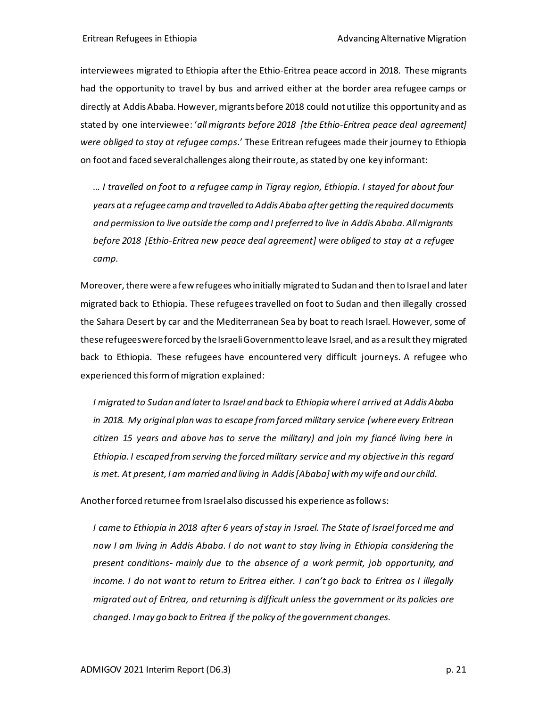interviewees migrated to Ethiopia after the Ethio-Eritrea peace accord in 2018. These migrants had the opportunity to travel by bus and arrived either at the border area refugee camps or directly at Addis Ababa. However, migrants before 2018 could not utilize this opportunity and as stated by one interviewee: '*all migrants before 2018 [the Ethio-Eritrea peace deal agreement] were obliged to stay at refugee camps*.' These Eritrean refugees made their journey to Ethiopia on foot and faced several challenges along their route, as stated by one key informant:

*… I travelled on foot to a refugee camp in Tigray region, Ethiopia. I stayed for about four years at a refugee camp and travelled to Addis Ababa after getting the required documents and permission to live outside the camp and I preferred to live in Addis Ababa. All migrants before 2018 [Ethio-Eritrea new peace deal agreement] were obliged to stay at a refugee camp.*

Moreover, there were a few refugees who initially migrated to Sudan and then to Israel and later migrated back to Ethiopia. These refugees travelled on foot to Sudan and then illegally crossed the Sahara Desert by car and the Mediterranean Sea by boat to reach Israel. However, some of these refugees were forced by the Israeli Government to leave Israel, and as a result they migrated back to Ethiopia. These refugees have encountered very difficult journeys. A refugee who experienced this form of migration explained:

*I migrated to Sudan and later to Israel and back to Ethiopia where I arrived at Addis Ababa*  in 2018. My original plan was to escape from forced military service (where every Eritrean *citizen 15 years and above has to serve the military) and join my fiancé living here in Ethiopia. I escaped from serving the forced military service and my objective in this regard is met. At present, I am married and living in Addis [Ababa] with my wife and our child.* 

Another forced returnee from Israel also discussed his experience as follows:

*I came to Ethiopia in 2018 after 6 years of stay in Israel. The State of Israel forced me and now I am living in Addis Ababa. I do not want to stay living in Ethiopia considering the present conditions- mainly due to the absence of a work permit, job opportunity, and income. I do not want to return to Eritrea either. I can't go back to Eritrea as I illegally migrated out of Eritrea, and returning is difficult unless the government or its policies are changed. I may go back to Eritrea if the policy of the government changes.*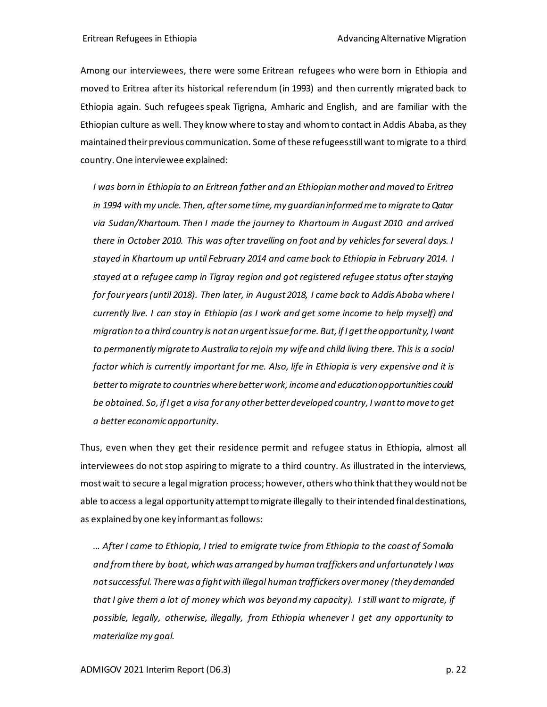Among our interviewees, there were some Eritrean refugees who were born in Ethiopia and moved to Eritrea after its historical referendum (in 1993) and then currently migrated back to Ethiopia again. Such refugees speak Tigrigna, Amharic and English, and are familiar with the Ethiopian culture as well. They know where to stay and whom to contact in Addis Ababa, as they maintained their previous communication. Some of these refugees still want to migrate to a third country. One interviewee explained:

*I was born in Ethiopia to an Eritrean father and an Ethiopian mother and moved to Eritrea in 1994 with my uncle. Then, after some time, my guardian informed me to migrate to Qatar via Sudan/Khartoum. Then I made the journey to Khartoum in August 2010 and arrived there in October 2010. This was after travelling on foot and by vehicles for several days. I stayed in Khartoum up until February 2014 and came back to Ethiopia in February 2014. I stayed at a refugee camp in Tigray region and got registered refugee status after staying for four years (until 2018). Then later, in August 2018, I came back to Addis Ababa where I currently live. I can stay in Ethiopia (as I work and get some income to help myself) and migration to a third country is not an urgent issue for me. But, if I get the opportunity, I want to permanently migrate to Australia to rejoin my wife and child living there. This is a social factor which is currently important for me. Also, life in Ethiopia is very expensive and it is better to migrate to countries where better work, income and education opportunities could be obtained. So, if I get a visa for any other better developed country, I want to move to get a better economic opportunity.*

Thus, even when they get their residence permit and refugee status in Ethiopia, almost all interviewees do not stop aspiring to migrate to a third country. As illustrated in the interviews, most wait to secure a legal migration process; however, others who think that they would not be able to access a legal opportunity attempt to migrate illegally to their intended final destinations, as explained by one key informant as follows:

*… After I came to Ethiopia, I tried to emigrate twice from Ethiopia to the coast of Somalia and from there by boat, which was arranged by human traffickers and unfortunately I was not successful. There was a fight with illegal human traffickers over money (they demanded that I give them a lot of money which was beyond my capacity). I still want to migrate, if possible, legally, otherwise, illegally, from Ethiopia whenever I get any opportunity to materialize my goal.*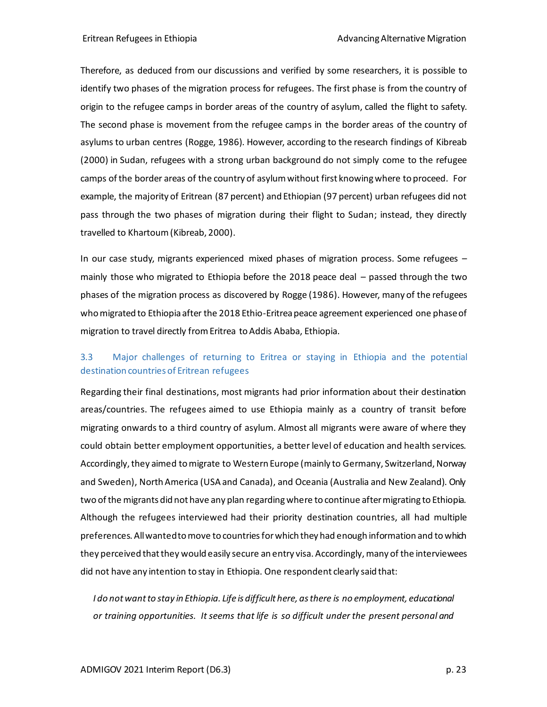Therefore, as deduced from our discussions and verified by some researchers, it is possible to identify two phases of the migration process for refugees. The first phase is from the country of origin to the refugee camps in border areas of the country of asylum, called the flight to safety. The second phase is movement from the refugee camps in the border areas of the country of asylums to urban centres (Rogge, 1986). However, according to the research findings of Kibreab (2000) in Sudan, refugees with a strong urban background do not simply come to the refugee camps of the border areas of the country of asylum without first knowing where to proceed. For example, the majority of Eritrean (87 percent) and Ethiopian (97 percent) urban refugees did not pass through the two phases of migration during their flight to Sudan; instead, they directly travelled to Khartoum (Kibreab, 2000).

In our case study, migrants experienced mixed phases of migration process. Some refugees – mainly those who migrated to Ethiopia before the 2018 peace deal – passed through the two phases of the migration process as discovered by Rogge (1986). However, many of the refugees who migrated to Ethiopia after the 2018 Ethio-Eritrea peace agreement experienced one phase of migration to travel directly from Eritrea to Addis Ababa, Ethiopia.

### <span id="page-22-0"></span>3.3 Major challenges of returning to Eritrea or staying in Ethiopia and the potential destination countries of Eritrean refugees

Regarding their final destinations, most migrants had prior information about their destination areas/countries. The refugees aimed to use Ethiopia mainly as a country of transit before migrating onwards to a third country of asylum. Almost all migrants were aware of where they could obtain better employment opportunities, a better level of education and health services. Accordingly, they aimed to migrate to Western Europe (mainly to Germany, Switzerland, Norway and Sweden), North America (USA and Canada), and Oceania (Australia and New Zealand). Only two of the migrants did not have any plan regarding where to continue after migrating to Ethiopia. Although the refugees interviewed had their priority destination countries, all had multiple preferences. All wantedto move to countries for which they had enough information and to which they perceived that they would easily secure an entry visa. Accordingly, many of the interviewees did not have any intention to stay in Ethiopia. One respondent clearly said that:

I do not want to stay in Ethiopia. Life is difficult here, as there is no employment, educational *or training opportunities. It seems that life is so difficult under the present personal and*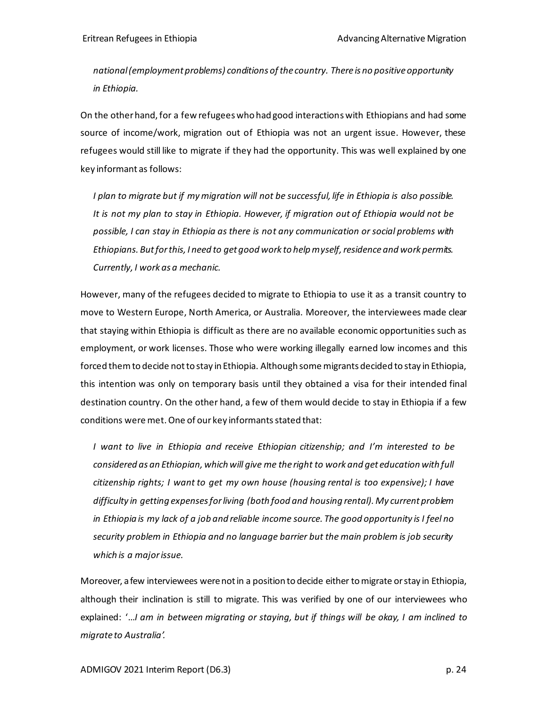*national (employment problems) conditions of the country. There is no positive opportunity in Ethiopia.*

On the other hand, for a few refugees who had good interactions with Ethiopians and had some source of income/work, migration out of Ethiopia was not an urgent issue. However, these refugees would still like to migrate if they had the opportunity. This was well explained by one key informant as follows:

*I plan to migrate but if my migration will not be successful, life in Ethiopia is also possible. It is not my plan to stay in Ethiopia. However, if migration out of Ethiopia would not be possible, I can stay in Ethiopia as there is not any communication orsocial problems with Ethiopians. But for this, I need to get good work to help myself, residence and work permits. Currently, I work as a mechanic.* 

However, many of the refugees decided to migrate to Ethiopia to use it as a transit country to move to Western Europe, North America, or Australia. Moreover, the interviewees made clear that staying within Ethiopia is difficult as there are no available economic opportunities such as employment, or work licenses. Those who were working illegally earned low incomes and this forced them to decide not to stay in Ethiopia. Although some migrants decided to stay in Ethiopia, this intention was only on temporary basis until they obtained a visa for their intended final destination country. On the other hand, a few of them would decide to stay in Ethiopia if a few conditions were met. One of our key informants stated that:

*I want to live in Ethiopia and receive Ethiopian citizenship; and I'm interested to be considered as an Ethiopian, which will give me the right to work and get education with full citizenship rights; I want to get my own house (housing rental is too expensive); I have difficulty in getting expenses for living (both food and housing rental). My current problem in Ethiopia is my lack of a job and reliable income source. The good opportunity is I feel no security problem in Ethiopia and no language barrier but the main problem is job security which is a major issue.*

Moreover, a few interviewees were not in a position to decide either to migrate or stay in Ethiopia, although their inclination is still to migrate. This was verified by one of our interviewees who explained: '…*I am in between migrating or staying, but if things will be okay, I am inclined to migrate to Australia'.*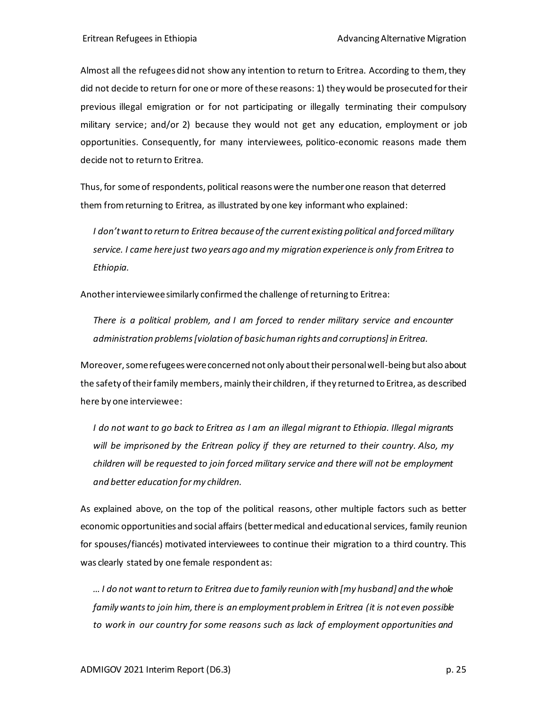Almost all the refugees did not show any intention to return to Eritrea. According to them, they did not decide to return for one or more of these reasons: 1) they would be prosecuted for their previous illegal emigration or for not participating or illegally terminating their compulsory military service; and/or 2) because they would not get any education, employment or job opportunities. Consequently, for many interviewees, politico-economic reasons made them decide not to return to Eritrea.

Thus, for some of respondents, political reasonswere the number one reason that deterred them from returning to Eritrea, as illustrated by one key informant who explained:

*I don't want to return to Eritrea because of the current existing political and forced military service. I came here just two years ago and my migration experience is only from Eritrea to Ethiopia.*

Another interviewee similarly confirmed the challenge of returning to Eritrea:

*There is a political problem, and I am forced to render military service and encounter administration problems [violation of basic human rights and corruptions] in Eritrea.* 

Moreover, some refugees were concerned not only about their personal well-being but also about the safety of their family members,mainly their children, if they returned to Eritrea, as described here by one interviewee:

*I do not want to go back to Eritrea as I am an illegal migrant to Ethiopia. Illegal migrants will be imprisoned by the Eritrean policy if they are returned to their country. Also, my children will be requested to join forced military service and there will not be employment and better education for my children.* 

As explained above, on the top of the political reasons, other multiple factors such as better economic opportunities and social affairs (better medical and educational services, family reunion for spouses/fiancés) motivated interviewees to continue their migration to a third country. This was clearly stated by one female respondent as:

*… I do not want to return to Eritrea due to family reunion with [my husband] and the whole family wants to join him, there is an employment problem in Eritrea (it is not even possible to work in our country for some reasons such as lack of employment opportunities and*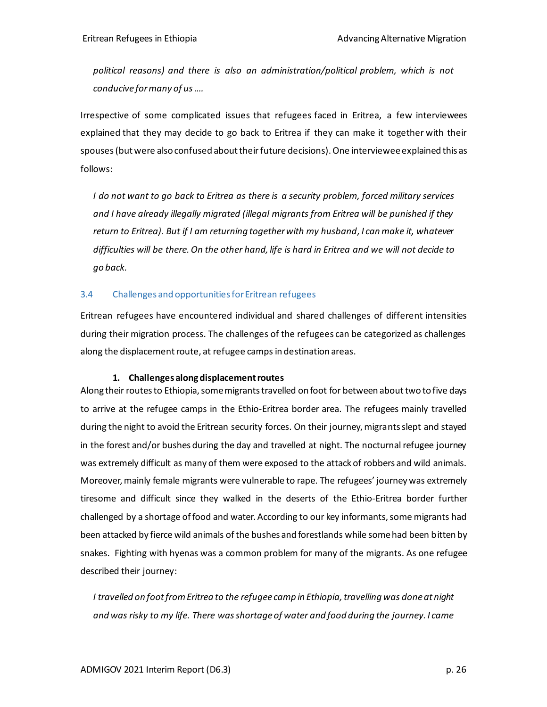*political reasons) and there is also an administration/political problem, which is not conducive for many of us ….*

Irrespective of some complicated issues that refugees faced in Eritrea, a few interviewees explained that they may decide to go back to Eritrea if they can make it together with their spouses(but were also confused about their future decisions). One intervieweeexplained this as follows:

*I do not want to go back to Eritrea as there is a security problem, forced military services and I have already illegally migrated (illegal migrants from Eritrea will be punished if they return to Eritrea). But if I am returning together with my husband, I can make it, whatever difficulties will be there. On the other hand, life is hard in Eritrea and we will not decide to go back.* 

#### <span id="page-25-0"></span>3.4 Challenges and opportunities for Eritrean refugees

Eritrean refugees have encountered individual and shared challenges of different intensities during their migration process. The challenges of the refugees can be categorized as challenges along the displacement route, at refugee camps in destination areas.

#### **1. Challenges along displacement routes**

Along their routes to Ethiopia, some migrants travelled on foot for between about two to five days to arrive at the refugee camps in the Ethio-Eritrea border area. The refugees mainly travelled during the night to avoid the Eritrean security forces. On their journey, migrants slept and stayed in the forest and/or bushes during the day and travelled at night. The nocturnal refugee journey was extremely difficult as many of them were exposed to the attack of robbers and wild animals. Moreover, mainly female migrants were vulnerable to rape. The refugees' journey was extremely tiresome and difficult since they walked in the deserts of the Ethio-Eritrea border further challenged by a shortage of food and water. According to our key informants, some migrants had been attacked by fierce wild animals of the bushes and forestlands while some had been bitten by snakes. Fighting with hyenas was a common problem for many of the migrants. As one refugee described their journey:

*I travelled on foot from Eritrea to the refugee camp in Ethiopia, travelling was done at night and was risky to my life. There was shortage of water and food during the journey. I came*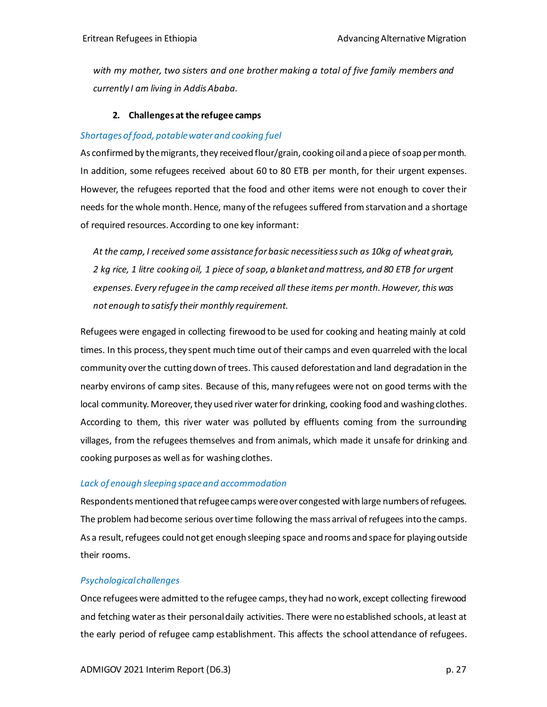*with my mother, two sisters and one brother making a total of five family members and currently I am living in Addis Ababa.* 

#### **2. Challenges at the refugee camps**

#### *Shortages of food, potable water and cooking fuel*

As confirmed by the migrants, they received flour/grain, cooking oil and a piece of soap per month. In addition, some refugees received about 60 to 80 ETB per month, for their urgent expenses. However, the refugees reported that the food and other items were not enough to cover their needs for the whole month. Hence, many of the refugees suffered from starvation and a shortage of required resources. According to one key informant:

*At the camp, I received some assistance for basic necessitiesssuch as 10kg of wheat grain, 2 kg rice, 1 litre cooking oil, 1 piece of soap, a blanket and mattress, and 80 ETB for urgent expenses. Every refugee in the camp received all these items per month. However, this was not enough to satisfy their monthly requirement.*

Refugees were engaged in collecting firewood to be used for cooking and heating mainly at cold times. In this process, they spent much time out of their camps and even quarreled with the local community over the cutting down of trees. This caused deforestation and land degradation in the nearby environs of camp sites. Because of this, many refugees were not on good terms with the local community. Moreover, they used river water for drinking, cooking food and washing clothes. According to them, this river water was polluted by effluents coming from the surrounding villages, from the refugees themselves and from animals, which made it unsafe for drinking and cooking purposes as well as for washing clothes.

#### *Lack of enough sleeping space and accommodation*

Respondents mentioned that refugee camps were over congested with large numbers of refugees. The problem had become serious over time following the mass arrival of refugees into the camps. As a result, refugees could not get enough sleeping space and rooms and space for playing outside their rooms.

#### *Psychological challenges*

Once refugees were admitted to the refugee camps, they had no work, except collecting firewood and fetching water as their personal daily activities. There were no established schools, at least at the early period of refugee camp establishment. This affects the school attendance of refugees.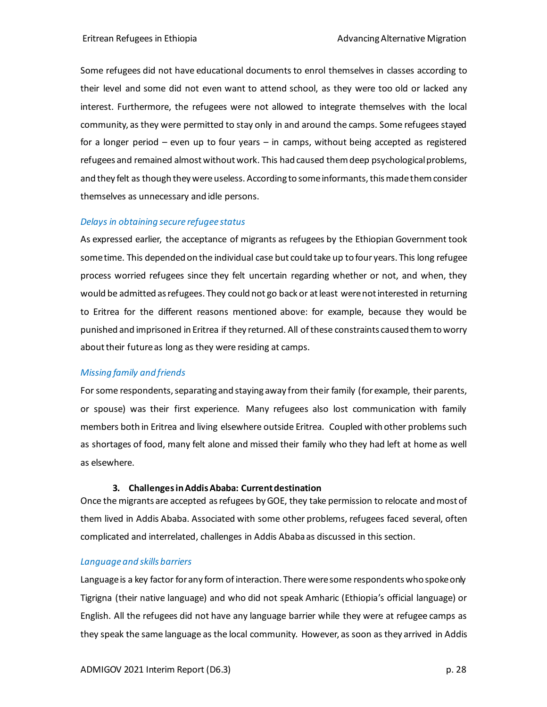Some refugees did not have educational documents to enrol themselves in classes according to their level and some did not even want to attend school, as they were too old or lacked any interest. Furthermore, the refugees were not allowed to integrate themselves with the local community, as they were permitted to stay only in and around the camps. Some refugees stayed for a longer period – even up to four years – in camps, without being accepted as registered refugees and remained almost without work. This had caused them deep psychological problems, and they felt as though they were useless. According to some informants, this made them consider themselves as unnecessary and idle persons.

#### *Delays in obtaining secure refugee status*

As expressed earlier, the acceptance of migrants as refugees by the Ethiopian Government took some time. This depended on the individual case but could take up to four years. This long refugee process worried refugees since they felt uncertain regarding whether or not, and when, they would be admitted as refugees. They could not go back or at least were not interested in returning to Eritrea for the different reasons mentioned above: for example, because they would be punished and imprisoned in Eritrea if they returned. All ofthese constraints caused them to worry about their future as long as they were residing at camps.

#### *Missing family and friends*

For some respondents, separating and staying away from their family (for example, their parents, or spouse) was their first experience. Many refugees also lost communication with family members both in Eritrea and living elsewhere outside Eritrea. Coupled with other problems such as shortages of food, many felt alone and missed their family who they had left at home as well as elsewhere.

#### **3. Challenges in Addis Ababa: Current destination**

Once the migrants are accepted as refugees by GOE, they take permission to relocate and most of them lived in Addis Ababa. Associated with some other problems, refugees faced several, often complicated and interrelated, challenges in Addis Ababa as discussed in this section.

#### *Language and skills barriers*

Language is a key factor for any form of interaction. There were some respondents who spoke only Tigrigna (their native language) and who did not speak Amharic (Ethiopia's official language) or English. All the refugees did not have any language barrier while they were at refugee camps as they speak the same language as the local community. However, as soon as they arrived in Addis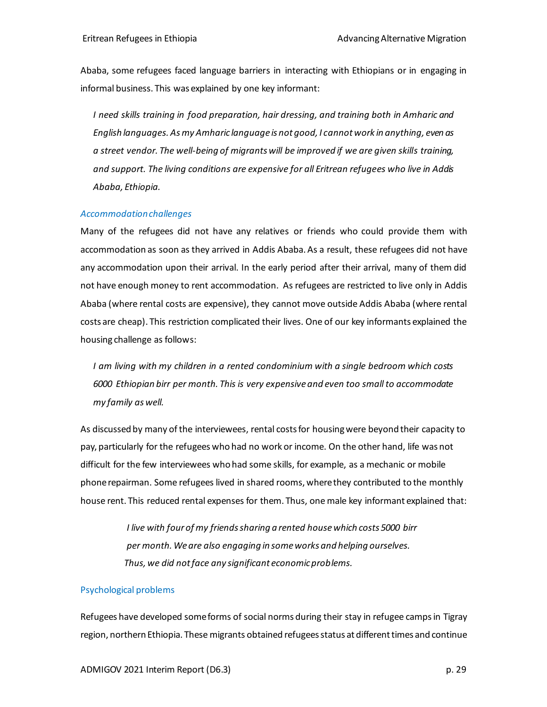Ababa, some refugees faced language barriers in interacting with Ethiopians or in engaging in informal business. This was explained by one key informant:

*I need skills training in food preparation, hair dressing, and training both in Amharic and English languages. As my Amharic language is not good, I cannotwork in anything, even as a street vendor. The well-being of migrants will be improved if we are given skills training, and support. The living conditions are expensive for all Eritrean refugees who live in Addis Ababa, Ethiopia.*

#### *Accommodationchallenges*

Many of the refugees did not have any relatives or friends who could provide them with accommodation as soon as they arrived in Addis Ababa. As a result, these refugees did not have any accommodation upon their arrival. In the early period after their arrival, many of them did not have enough money to rent accommodation. As refugees are restricted to live only in Addis Ababa (where rental costs are expensive), they cannot move outside Addis Ababa (where rental costs are cheap). This restriction complicated their lives. One of our key informants explained the housing challenge as follows:

*I am living with my children in a rented condominium with a single bedroom which costs 6000 Ethiopian birr per month. This is very expensive and even too small to accommodate my family as well.* 

As discussed by many of the interviewees, rental costs for housing were beyond their capacity to pay, particularly for the refugees who had no work or income. On the other hand, life was not difficult for the few interviewees who had some skills, for example, as a mechanic or mobile phone repairman. Some refugees lived in shared rooms, where they contributed to the monthly house rent. This reduced rental expenses for them. Thus, one male key informant explained that:

> *I live with four of my friends sharing a rented house which costs 5000 birr per month. We are also engaging in some works and helping ourselves. Thus, we did not face any significant economic problems.*

#### Psychological problems

Refugees have developed some forms of social norms during their stay in refugee camps in Tigray region, northern Ethiopia. These migrants obtained refugees status at different times and continue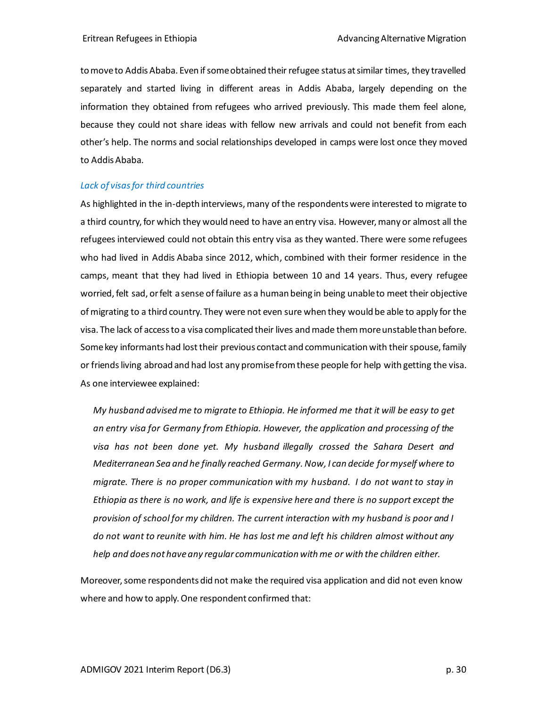to move to Addis Ababa. Even if some obtained their refugee status at similar times, they travelled separately and started living in different areas in Addis Ababa, largely depending on the information they obtained from refugees who arrived previously. This made them feel alone, because they could not share ideas with fellow new arrivals and could not benefit from each other's help. The norms and social relationships developed in camps were lost once they moved to Addis Ababa.

#### *Lack of visas for third countries*

As highlighted in the in-depth interviews, many of the respondents were interested to migrate to a third country, for which they would need to have an entry visa. However, many or almost all the refugees interviewed could not obtain this entry visa as they wanted. There were some refugees who had lived in Addis Ababa since 2012, which, combined with their former residence in the camps, meant that they had lived in Ethiopia between 10 and 14 years. Thus, every refugee worried, felt sad, or felt a sense of failure as a human being in being unable to meet their objective of migrating to a third country. They were not even sure when they would be able to apply for the visa. The lack of access to a visa complicated their lives and made them more unstable than before. Some key informants had lost their previous contact and communication with their spouse, family or friends living abroad and had lost any promise from these people for help with getting the visa. As one interviewee explained:

*My husband advised me to migrate to Ethiopia. He informed me that it will be easy to get an entry visa for Germany from Ethiopia. However, the application and processing of the visa has not been done yet. My husband illegally crossed the Sahara Desert and Mediterranean Sea and he finally reached Germany. Now, I can decide formyself where to migrate. There is no proper communication with my husband. I do not want to stay in Ethiopia as there is no work, and life is expensive here and there is no support except the provision of school for my children. The current interaction with my husband is poor and I do not want to reunite with him. He has lost me and left his children almost without any help and does not haveany regular communication with me or with the children either.*

Moreover, some respondents did not make the required visa application and did not even know where and how to apply. One respondent confirmed that: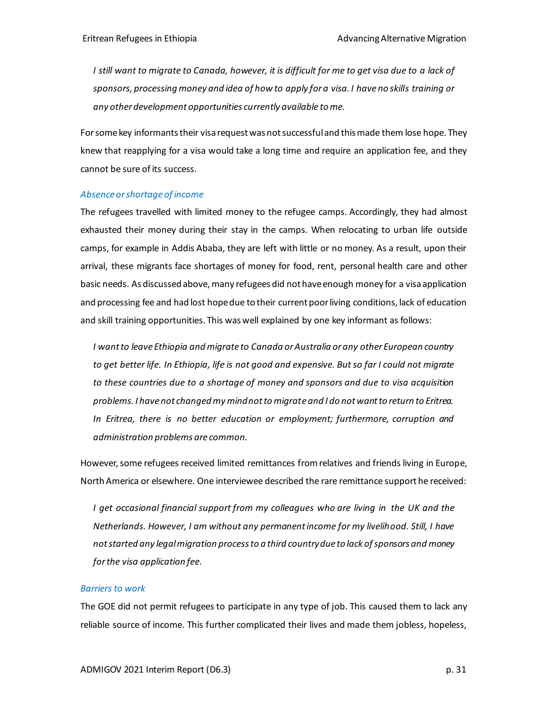*I still want to migrate to Canada, however, it is difficult for me to get visa due to a lack of sponsors, processing money and idea of how to apply for a visa. I have no skills training or any other development opportunities currently available tome.* 

For some key informants their visa request was not successful and this made them lose hope. They knew that reapplying for a visa would take a long time and require an application fee, and they cannot be sure of its success.

#### *Absence or shortage of income*

The refugees travelled with limited money to the refugee camps. Accordingly, they had almost exhausted their money during their stay in the camps. When relocating to urban life outside camps, for example in Addis Ababa, they are left with little or no money. As a result, upon their arrival, these migrants face shortages of money for food, rent, personal health care and other basic needs. As discussed above, many refugees did not have enough money for a visa application and processing fee and had lost hope due to their current poor living conditions, lack of education and skill training opportunities. This was well explained by one key informant as follows:

*I want to leave Ethiopia and migrate to Canada or Australia or any other European country to get better life. In Ethiopia, life is not good and expensive. But so far I could not migrate to these countries due to a shortage of money and sponsors and due to visa acquisition problems. I have not changed my mind not to migrate and I do not want to return to Eritrea. In Eritrea, there is no better education or employment; furthermore, corruption and administration problems are common.*

However, some refugees received limited remittances from relatives and friends living in Europe, NorthAmerica or elsewhere. One interviewee described the rare remittance support he received:

*I get occasional financial support from my colleagues who are living in the UK and the Netherlands. However, I am without any permanent income for my livelihood. Still, I have not started any legal migration process to a third country due to lack of sponsors and money for the visa application fee.*

#### *Barriers to work*

The GOE did not permit refugees to participate in any type of job. This caused them to lack any reliable source of income. This further complicated their lives and made them jobless, hopeless,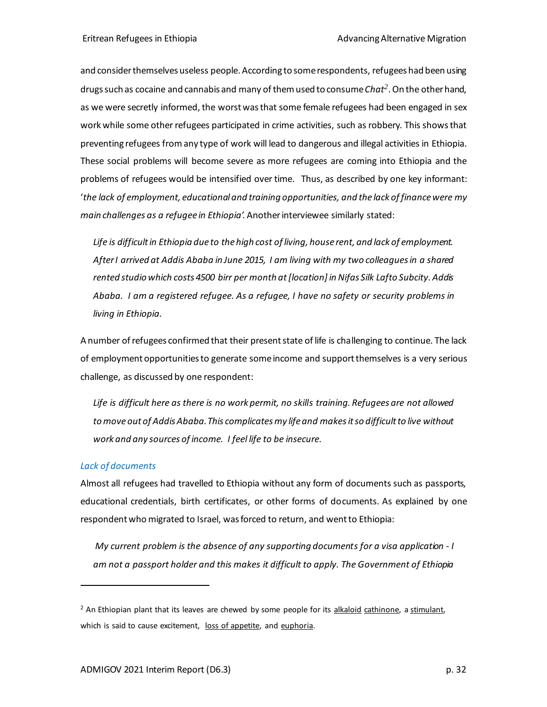and consider themselves useless people. According to some respondents, refugees had been using drugs such as cocaine and cannabis and many of them used to consume *Chat<sup>2</sup>* . On the other hand, as we were secretly informed, the worst was that some female refugees had been engaged in sex work while some other refugees participated in crime activities, such as robbery. This shows that preventing refugees from any type of work will lead to dangerous and illegal activities in Ethiopia. These social problems will become severe as more refugees are coming into Ethiopia and the problems of refugees would be intensified over time. Thus, as described by one key informant: '*the lack of employment, educational and training opportunities, and the lack of finance were my main challenges as a refugee in Ethiopia'.* Another interviewee similarly stated:

*Life is difficult in Ethiopia due to thehigh cost of living, house rent, and lack of employment. After I arrived at Addis Ababa in June 2015, I am living with my two colleagues in a shared rented studio which costs 4500 birr per month at [location] in Nifas Silk Lafto Subcity. Addis Ababa. I am a registered refugee. As a refugee, I have no safety or security problems in living in Ethiopia.* 

A number of refugees confirmed that their present state of life is challenging to continue. The lack of employment opportunitiesto generate some income and support themselves is a very serious challenge, as discussed by one respondent:

*Life is difficult here as there is no work permit, no skills training. Refugees are not allowed to move out of Addis Ababa. This complicates my life and makesit so difficult to live without work and any sources of income. I feel life to be insecure.* 

#### *Lack of documents*

Almost all refugees had travelled to Ethiopia without any form of documents such as passports, educational credentials, birth certificates, or other forms of documents. As explained by one respondent who migrated to Israel, was forced to return, and went to Ethiopia:

*My current problem is the absence of any supporting documents for a visa application - I am not a passport holder and this makes it difficult to apply. The Government of Ethiopia* 

 $<sup>2</sup>$  An Ethiopian plant that its leaves are chewed by some people for it[s alkaloid](https://en.wikipedia.org/wiki/Alkaloid) [cathinone,](https://en.wikipedia.org/wiki/Cathinone) a stimulant,</sup> which is said to cause excitement, [loss of appetite,](https://en.wikipedia.org/wiki/Anorectic) and [euphoria.](https://en.wikipedia.org/wiki/Euphoria)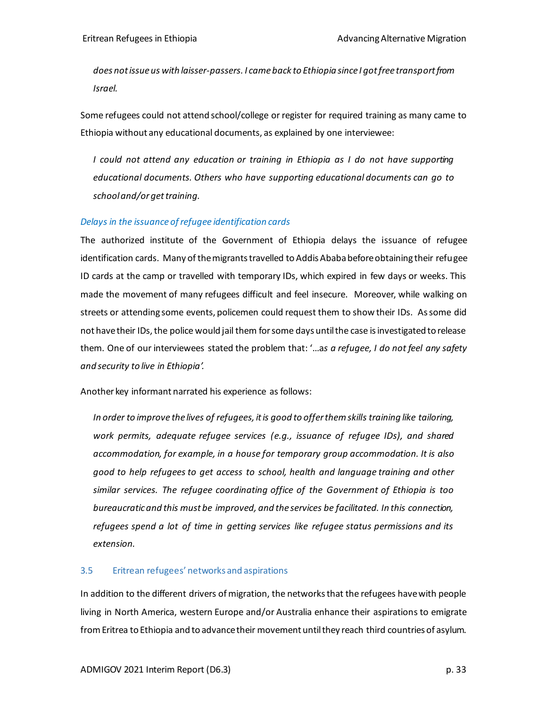*does not issue us with laisser-passers. I came back to Ethiopia since I got free transport from Israel.* 

Some refugees could not attend school/college or register for required training as many came to Ethiopia without any educational documents, as explained by one interviewee:

*I could not attend any education or training in Ethiopia as I do not have supporting educational documents. Others who have supporting educational documents can go to school and/or get training.* 

#### *Delays in the issuance of refugee identification cards*

The authorized institute of the Government of Ethiopia delays the issuance of refugee identification cards. Many of the migrants travelled to Addis Ababa before obtaining their refugee ID cards at the camp or travelled with temporary IDs, which expired in few days or weeks. This made the movement of many refugees difficult and feel insecure. Moreover, while walking on streets or attending some events, policemen could request them to show their IDs. As some did not have their IDs, the police would jail them for some days until the case is investigated to release them. One of our interviewees stated the problem that: '…a*s a refugee, I do not feel any safety and security to live in Ethiopia'.* 

Another key informant narrated his experience as follows:

*In order to improve the lives of refugees, it is good to offer them skills training like tailoring, work permits, adequate refugee services (e.g., issuance of refugee IDs), and shared accommodation, for example, in a house for temporary group accommodation. It is also good to help refugees to get access to school, health and language training and other similar services. The refugee coordinating office of the Government of Ethiopia is too bureaucratic and this must be improved, and the services be facilitated. In this connection, refugees spend a lot of time in getting services like refugee status permissions and its extension.*

#### <span id="page-32-0"></span>3.5 Eritrean refugees' networks and aspirations

In addition to the different drivers of migration, the networks that the refugees have with people living in North America, western Europe and/or Australia enhance their aspirations to emigrate from Eritrea to Ethiopia and to advance their movement until they reach third countries of asylum.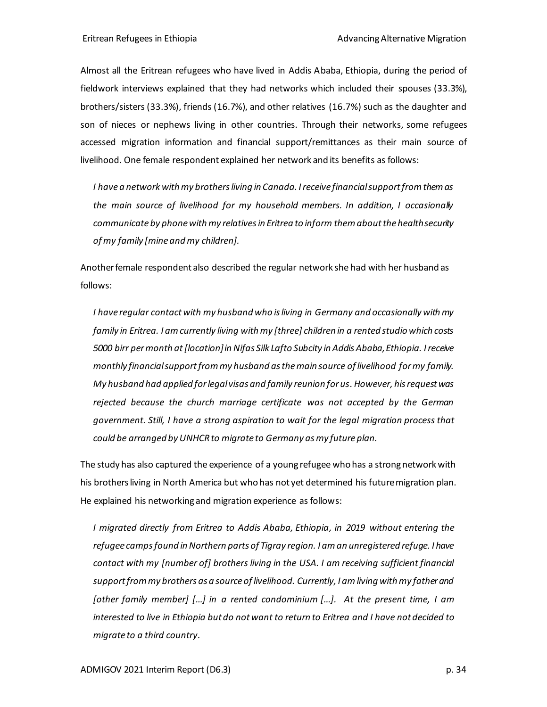Almost all the Eritrean refugees who have lived in Addis Ababa, Ethiopia, during the period of fieldwork interviews explained that they had networks which included their spouses (33.3%), brothers/sisters (33.3%), friends (16.7%), and other relatives (16.7%) such as the daughter and son of nieces or nephews living in other countries. Through their networks, some refugees accessed migration information and financial support/remittances as their main source of livelihood. One female respondent explained her network and its benefits as follows:

*I have a network with my brothers living in Canada. I receive financial support from them as the main source of livelihood for my household members. In addition, I occasionally communicate by phone with my relatives in Eritrea to inform them aboutthe health security of my family [mine and my children].*

Another female respondent also described the regular network she had with her husband as follows:

*I have regular contactwith my husband who is living in Germany and occasionally with my family in Eritrea. I am currently living with my [three] children in a rented studio which costs 5000 birr per month at[location] in Nifas Silk Lafto Subcity in Addis Ababa, Ethiopia. I receive monthly financial support from my husband as the main source of livelihood formy family. My husband had applied for legal visas and family reunion for us. However, his request was rejected because the church marriage certificate was not accepted by the German government. Still, I have a strong aspiration to wait for the legal migration process that could be arranged by UNHCR to migrate to Germany as my future plan.* 

The study has also captured the experience of a young refugee who has a strong network with his brothers living in North America but who has not yet determined his future migration plan. He explained his networking and migration experience as follows:

*I migrated directly from Eritrea to Addis Ababa, Ethiopia, in 2019 without entering the refugee campsfound in Northern parts of Tigray region. I am an unregistered refuge. I have contact with my [number of] brothers living in the USA. I am receiving sufficient financial support from my brothers as a source of livelihood. Currently, I amliving with my father and [other family member] […] in a rented condominium […]. At the present time, I am interested to live in Ethiopia but do not want to return to Eritrea and I have not decided to migrate to a third country.*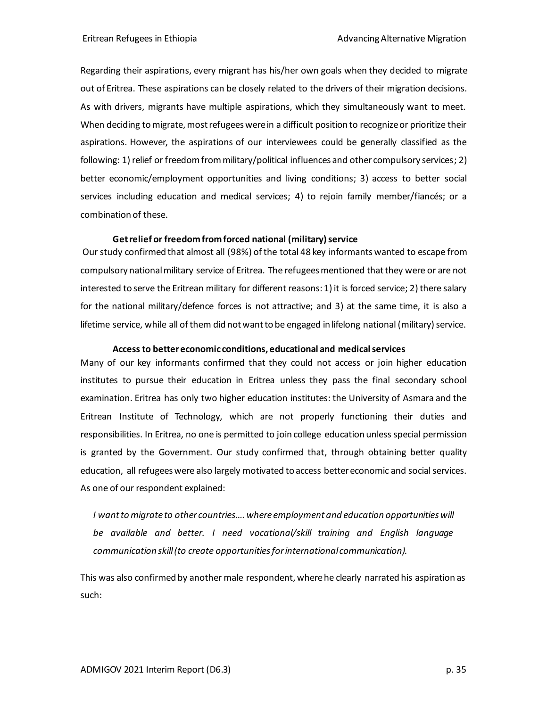Regarding their aspirations, every migrant has his/her own goals when they decided to migrate out of Eritrea. These aspirations can be closely related to the drivers of their migration decisions. As with drivers, migrants have multiple aspirations, which they simultaneously want to meet. When deciding to migrate, most refugees were in a difficult position to recognize or prioritize their aspirations. However, the aspirations of our interviewees could be generally classified as the following: 1) relief or freedom from military/political influences and other compulsory services; 2) better economic/employment opportunities and living conditions; 3) access to better social services including education and medical services; 4) to rejoin family member/fiancés; or a combination of these.

#### **Get relief or freedom from forced national (military) service**

Our study confirmed that almost all (98%) of the total 48 key informants wanted to escape from compulsory national military service of Eritrea. The refugees mentioned that they were or are not interested to serve the Eritrean military for different reasons: 1) it is forced service; 2) there salary for the national military/defence forces is not attractive; and 3) at the same time, it is also a lifetime service, while all of them did not want to be engaged in lifelong national (military) service.

#### **Access to better economic conditions, educational and medical services**

Many of our key informants confirmed that they could not access or join higher education institutes to pursue their education in Eritrea unless they pass the final secondary school examination. Eritrea has only two higher education institutes: the University of Asmara and the Eritrean Institute of Technology, which are not properly functioning their duties and responsibilities. In Eritrea, no one is permitted to join college education unless special permission is granted by the Government. Our study confirmed that, through obtaining better quality education, all refugees were also largely motivated to access better economic and social services. As one of our respondent explained:

*I want to migrate to other countries…. where employment and education opportunities will be available and better. I need vocational/skill training and English language communication skill (to create opportunities for international communication).* 

This was also confirmed by another male respondent, where he clearly narrated his aspiration as such: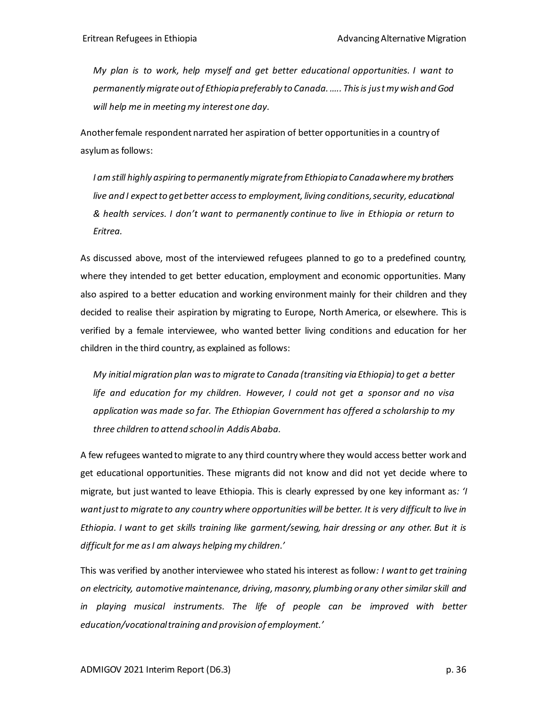*My plan is to work, help myself and get better educational opportunities. I want to permanently migrate out of Ethiopia preferably to Canada. ….. This is just my wish and God will help me in meeting my interest one day.*

Another female respondent narrated her aspiration of better opportunities in a country of asylum as follows:

*I am still highly aspiring to permanently migrate from Ethiopia to Canada where my brothers live and I expect to get better access to employment, living conditions, security, educational & health services. I don't want to permanently continue to live in Ethiopia or return to Eritrea.*

As discussed above, most of the interviewed refugees planned to go to a predefined country, where they intended to get better education, employment and economic opportunities. Many also aspired to a better education and working environment mainly for their children and they decided to realise their aspiration by migrating to Europe, North America, or elsewhere. This is verified by a female interviewee, who wanted better living conditions and education for her children in the third country, as explained as follows:

*My initial migration plan was to migrate to Canada (transiting via Ethiopia) to get a better life and education for my children. However, I could not get a sponsor and no visa application was made so far. The Ethiopian Government has offered a scholarship to my three children to attend school in Addis Ababa.* 

A few refugees wanted to migrate to any third country where they would access better work and get educational opportunities. These migrants did not know and did not yet decide where to migrate, but just wanted to leave Ethiopia. This is clearly expressed by one key informant as*: 'I want just to migrate to any country where opportunities will be better. It is very difficult to live in Ethiopia. I want to get skills training like garment/sewing, hair dressing or any other. But it is difficult for me as I am always helping my children.'*

This was verified by another interviewee who stated his interest as follow*: I want to get training on electricity, automotive maintenance, driving, masonry, plumbing or any other similar skill and*  in playing musical instruments. The life of people can be improved with better *education/vocational training and provision of employment.'*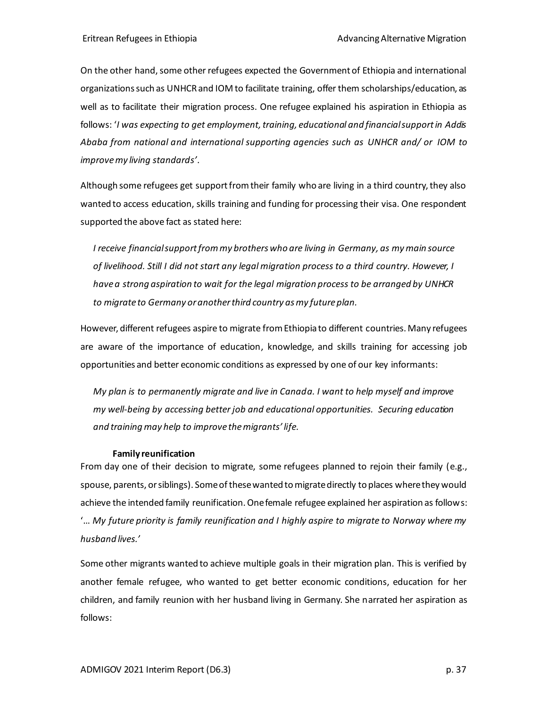On the other hand, some other refugees expected the Government of Ethiopia and international organizations such as UNHCR and IOM to facilitate training, offer them scholarships/education, as well as to facilitate their migration process. One refugee explained his aspiration in Ethiopia as follows: '*I was expecting to get employment, training, educational and financial support in Addis Ababa from national and international supporting agencies such as UNHCR and/ or IOM to improve my living standards'*.

Although some refugees get support from their family who are living in a third country, they also wanted to access education, skills training and funding for processing their visa. One respondent supported the above fact as stated here:

*I receive financial support from my brothers who are living in Germany, as mymain source of livelihood. Still I did not start any legal migration process to a third country. However, I have a strong aspiration to wait for the legal migration process to be arranged by UNHCR to migrate to Germany or another third country as my future plan.* 

However, different refugees aspire to migrate from Ethiopia to different countries. Many refugees are aware of the importance of education, knowledge, and skills training for accessing job opportunities and better economic conditions as expressed by one of our key informants:

*My plan is to permanently migrate and live in Canada. I want to help myself and improve my well-being by accessing better job and educational opportunities. Securing education and training may help to improve the migrants' life.* 

#### **Family reunification**

From day one of their decision to migrate, some refugees planned to rejoin their family (e.g., spouse, parents, or siblings). Some of these wanted to migrate directly to places where they would achieve the intended family reunification. One female refugee explained her aspiration as follows: '… *My future priority is family reunification and I highly aspire to migrate to Norway where my husband lives.'*

Some other migrants wanted to achieve multiple goals in their migration plan. This is verified by another female refugee, who wanted to get better economic conditions, education for her children, and family reunion with her husband living in Germany. She narrated her aspiration as follows: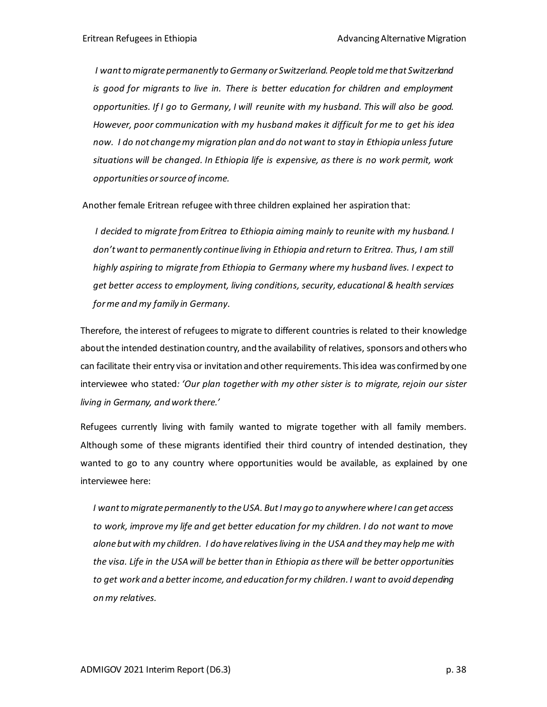*I want to migrate permanently to Germany or Switzerland. People told me that Switzerland is good for migrants to live in. There is better education for children and employment opportunities. If I go to Germany, I will reunite with my husband. This will also be good. However, poor communication with my husband makes it difficult for me to get his idea now. I do not change my migration plan and do not want to stay in Ethiopia unless future situations will be changed. In Ethiopia life is expensive, as there is no work permit, work opportunities or source of income.* 

Another female Eritrean refugee with three children explained her aspiration that:

*I decided to migrate from Eritrea to Ethiopia aiming mainly to reunite with my husband. I*  don't want to permanently continue living in Ethiopia and return to Eritrea. Thus, I am still *highly aspiring to migrate from Ethiopia to Germany where my husband lives. I expect to get better access to employment, living conditions, security, educational & health services for me and my family in Germany.*

Therefore, the interest of refugees to migrate to different countries is related to their knowledge about the intended destination country, and the availability of relatives, sponsors and others who can facilitate their entry visa or invitation and other requirements. This idea was confirmed by one interviewee who stated*: 'Our plan together with my other sister is to migrate, rejoin our sister living in Germany, and work there.'*

Refugees currently living with family wanted to migrate together with all family members. Although some of these migrants identified their third country of intended destination, they wanted to go to any country where opportunities would be available, as explained by one interviewee here:

*I want to migrate permanently to theUSA. But I may go to anywhere where I can get access to work, improve my life and get better education for my children. I do not want to move alone but with my children. I do have relatives living in the USA and they may help me with the visa. Life in the USA will be better than in Ethiopia as there will be better opportunities* to get work and a better income, and education for my children. I want to avoid depending *on my relatives.*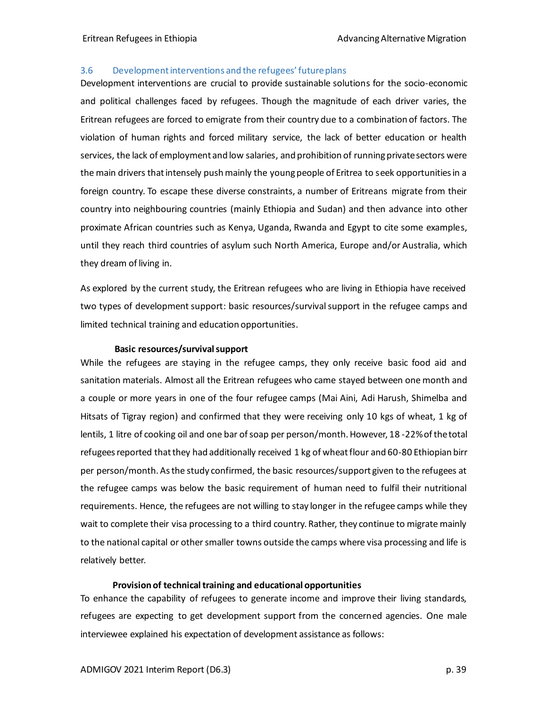#### <span id="page-38-0"></span>3.6 Development interventions and the refugees' future plans

Development interventions are crucial to provide sustainable solutions for the socio-economic and political challenges faced by refugees. Though the magnitude of each driver varies, the Eritrean refugees are forced to emigrate from their country due to a combination of factors. The violation of human rights and forced military service, the lack of better education or health services, the lack of employment and low salaries, and prohibition of running private sectors were the main drivers that intensely push mainly the young people of Eritrea to seek opportunities in a foreign country. To escape these diverse constraints, a number of Eritreans migrate from their country into neighbouring countries (mainly Ethiopia and Sudan) and then advance into other proximate African countries such as Kenya, Uganda, Rwanda and Egypt to cite some examples, until they reach third countries of asylum such North America, Europe and/or Australia, which they dream of living in.

As explored by the current study, the Eritrean refugees who are living in Ethiopia have received two types of development support: basic resources/survival support in the refugee camps and limited technical training and education opportunities.

#### **Basic resources/survival support**

While the refugees are staying in the refugee camps, they only receive basic food aid and sanitation materials. Almost all the Eritrean refugees who came stayed between one month and a couple or more years in one of the four refugee camps (Mai Aini, Adi Harush, Shimelba and Hitsats of Tigray region) and confirmed that they were receiving only 10 kgs of wheat, 1 kg of lentils, 1 litre of cooking oil and one bar of soap per person/month. However, 18 -22% of the total refugees reported that they had additionally received 1 kg of wheat flour and 60-80 Ethiopian birr per person/month. As the study confirmed, the basic resources/support given to the refugees at the refugee camps was below the basic requirement of human need to fulfil their nutritional requirements. Hence, the refugees are not willing to stay longer in the refugee camps while they wait to complete their visa processing to a third country. Rather, they continue to migrate mainly to the national capital or other smaller towns outside the camps where visa processing and life is relatively better.

#### **Provision of technical training and educational opportunities**

To enhance the capability of refugees to generate income and improve their living standards, refugees are expecting to get development support from the concerned agencies. One male interviewee explained his expectation of development assistance as follows: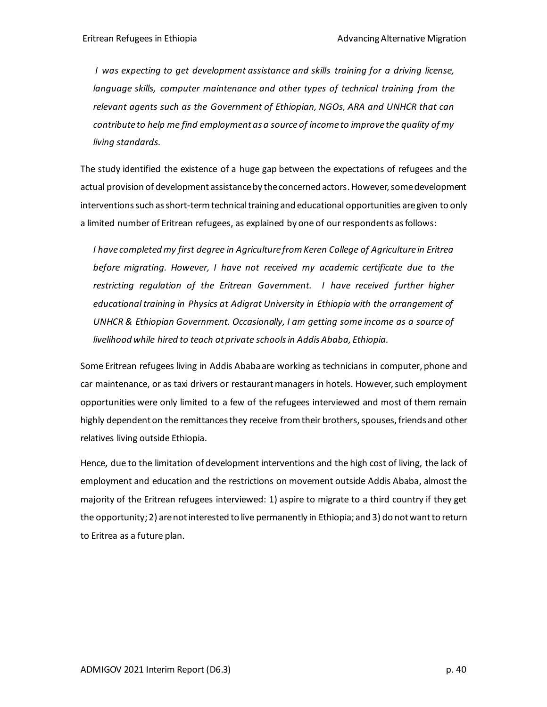*I was expecting to get development assistance and skills training for a driving license, language skills, computer maintenance and other types of technical training from the relevant agents such as the Government of Ethiopian, NGOs, ARA and UNHCR that can contribute to help me find employment as a source of income to improve the quality of my living standards.*

The study identified the existence of a huge gap between the expectations of refugees and the actual provision of development assistance by the concerned actors. However, some development interventions such as short-term technical training and educational opportunities are given to only a limited number of Eritrean refugees, as explained by one of our respondents as follows:

*I have completed my first degree in Agriculture from Keren College of Agriculture in Eritrea before migrating. However, I have not received my academic certificate due to the restricting regulation of the Eritrean Government. I have received further higher educational training in Physics at Adigrat University in Ethiopia with the arrangement of UNHCR & Ethiopian Government. Occasionally, I am getting some income as a source of livelihood while hired to teach at private schools in Addis Ababa, Ethiopia.* 

Some Eritrean refugees living in Addis Ababa are working as technicians in computer, phone and car maintenance, or as taxi drivers or restaurant managers in hotels. However, such employment opportunities were only limited to a few of the refugees interviewed and most of them remain highly dependent on the remittancesthey receive from their brothers, spouses, friends and other relatives living outside Ethiopia.

Hence, due to the limitation of development interventions and the high cost of living, the lack of employment and education and the restrictions on movement outside Addis Ababa, almost the majority of the Eritrean refugees interviewed: 1) aspire to migrate to a third country if they get the opportunity; 2) are not interested to live permanently in Ethiopia; and 3) do not want to return to Eritrea as a future plan.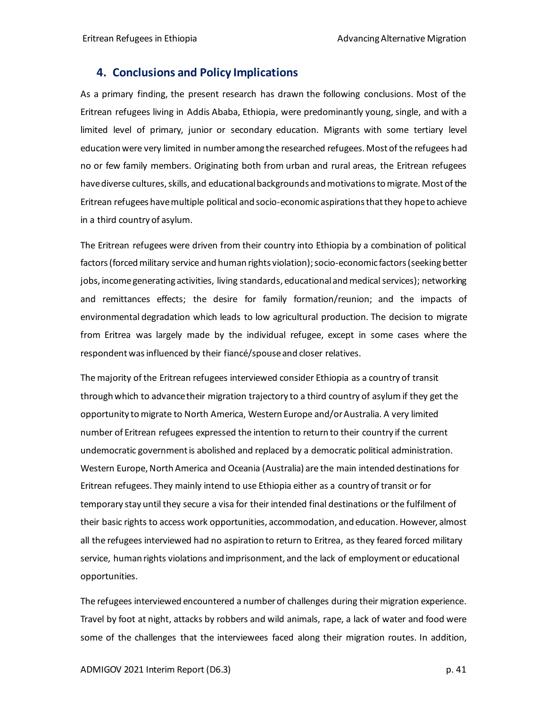### <span id="page-40-0"></span>**4. Conclusions and Policy Implications**

As a primary finding, the present research has drawn the following conclusions. Most of the Eritrean refugees living in Addis Ababa, Ethiopia, were predominantly young, single, and with a limited level of primary, junior or secondary education. Migrants with some tertiary level education were very limited in number among the researched refugees. Most of the refugees had no or few family members. Originating both from urban and rural areas, the Eritrean refugees have diverse cultures, skills, and educational backgrounds and motivationsto migrate. Most of the Eritrean refugees have multiple political and socio-economic aspirations that they hope to achieve in a third country of asylum.

The Eritrean refugees were driven from their country into Ethiopia by a combination of political factors (forced military service and human rights violation); socio-economic factors (seeking better jobs, income generating activities, living standards, educational and medical services); networking and remittances effects; the desire for family formation/reunion; and the impacts of environmental degradation which leads to low agricultural production. The decision to migrate from Eritrea was largely made by the individual refugee, except in some cases where the respondent was influenced by their fiancé/spouse and closer relatives.

The majority of the Eritrean refugees interviewed consider Ethiopia as a country of transit through which to advance their migration trajectory to a third country of asylum if they get the opportunity to migrate to North America, Western Europe and/or Australia. A very limited number of Eritrean refugees expressed the intention to return to their country if the current undemocratic government is abolished and replaced by a democratic political administration. Western Europe, North America and Oceania (Australia) are the main intended destinations for Eritrean refugees. They mainly intend to use Ethiopia either as a country of transit or for temporary stay until they secure a visa for their intended final destinations or the fulfilment of their basic rights to access work opportunities, accommodation, and education. However, almost all the refugees interviewed had no aspiration to return to Eritrea, as they feared forced military service, human rights violations and imprisonment, and the lack of employment or educational opportunities.

The refugees interviewed encountered a number of challenges during their migration experience. Travel by foot at night, attacks by robbers and wild animals, rape, a lack of water and food were some of the challenges that the interviewees faced along their migration routes. In addition,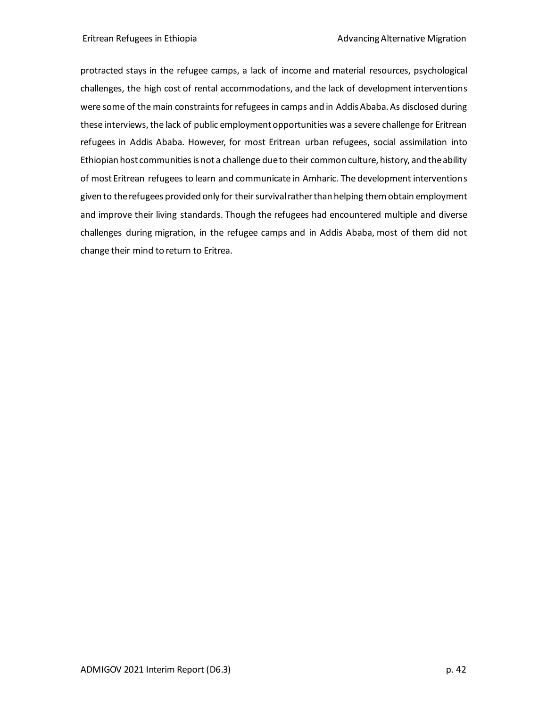protracted stays in the refugee camps, a lack of income and material resources, psychological challenges, the high cost of rental accommodations, and the lack of development interventions were some of the main constraints for refugees in camps and in Addis Ababa. As disclosed during these interviews, the lack of public employment opportunities was a severe challenge for Eritrean refugees in Addis Ababa. However, for most Eritrean urban refugees, social assimilation into Ethiopian host communities is not a challenge due to their common culture, history, and the ability of most Eritrean refugees to learn and communicate in Amharic. The development interventions given to the refugees provided only for their survival rather than helping them obtain employment and improve their living standards. Though the refugees had encountered multiple and diverse challenges during migration, in the refugee camps and in Addis Ababa, most of them did not change their mind to return to Eritrea.